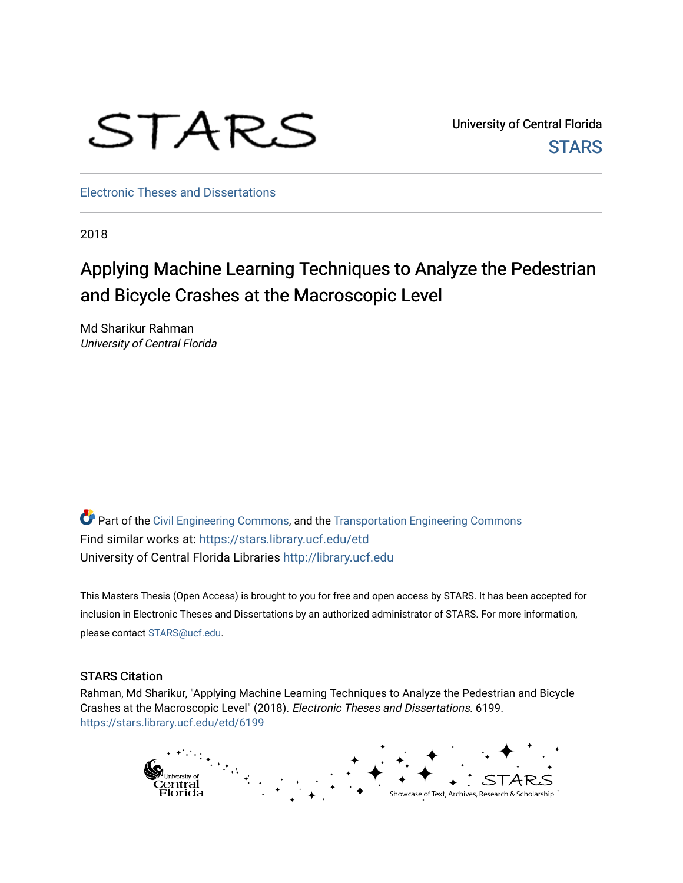

University of Central Florida **STARS** 

[Electronic Theses and Dissertations](https://stars.library.ucf.edu/etd)

2018

# Applying Machine Learning Techniques to Analyze the Pedestrian and Bicycle Crashes at the Macroscopic Level

Md Sharikur Rahman University of Central Florida

Part of the [Civil Engineering Commons](http://network.bepress.com/hgg/discipline/252?utm_source=stars.library.ucf.edu%2Fetd%2F6199&utm_medium=PDF&utm_campaign=PDFCoverPages), and the [Transportation Engineering Commons](http://network.bepress.com/hgg/discipline/1329?utm_source=stars.library.ucf.edu%2Fetd%2F6199&utm_medium=PDF&utm_campaign=PDFCoverPages) Find similar works at: <https://stars.library.ucf.edu/etd> University of Central Florida Libraries [http://library.ucf.edu](http://library.ucf.edu/) 

This Masters Thesis (Open Access) is brought to you for free and open access by STARS. It has been accepted for inclusion in Electronic Theses and Dissertations by an authorized administrator of STARS. For more information, please contact [STARS@ucf.edu](mailto:STARS@ucf.edu).

#### STARS Citation

Rahman, Md Sharikur, "Applying Machine Learning Techniques to Analyze the Pedestrian and Bicycle Crashes at the Macroscopic Level" (2018). Electronic Theses and Dissertations. 6199. [https://stars.library.ucf.edu/etd/6199](https://stars.library.ucf.edu/etd/6199?utm_source=stars.library.ucf.edu%2Fetd%2F6199&utm_medium=PDF&utm_campaign=PDFCoverPages) 

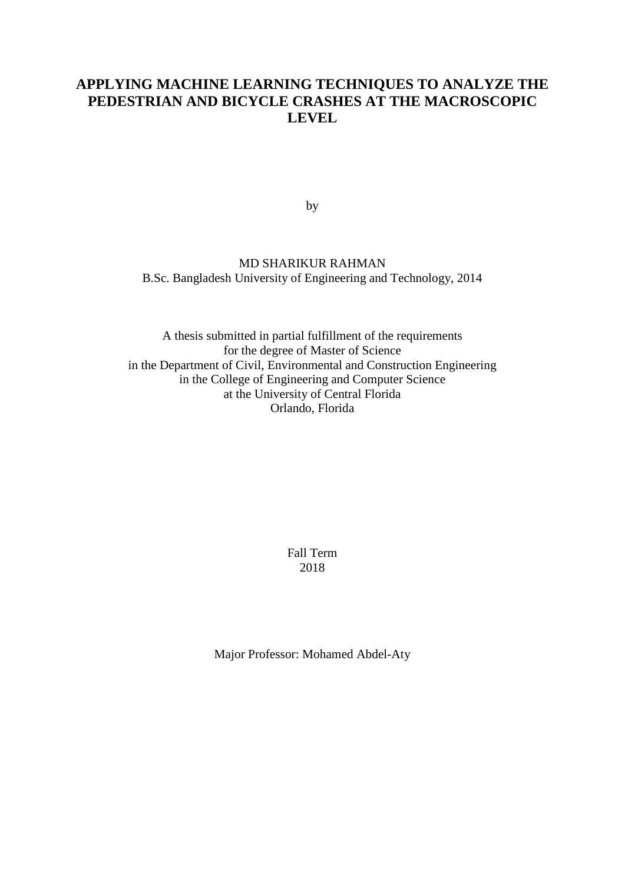# **APPLYING MACHINE LEARNING TECHNIQUES TO ANALYZE THE PEDESTRIAN AND BICYCLE CRASHES AT THE MACROSCOPIC LEVEL**

by

## MD SHARIKUR RAHMAN B.Sc. Bangladesh University of Engineering and Technology, 2014

A thesis submitted in partial fulfillment of the requirements for the degree of Master of Science in the Department of Civil, Environmental and Construction Engineering in the College of Engineering and Computer Science at the University of Central Florida Orlando, Florida

> Fall Term 2018

Major Professor: Mohamed Abdel-Aty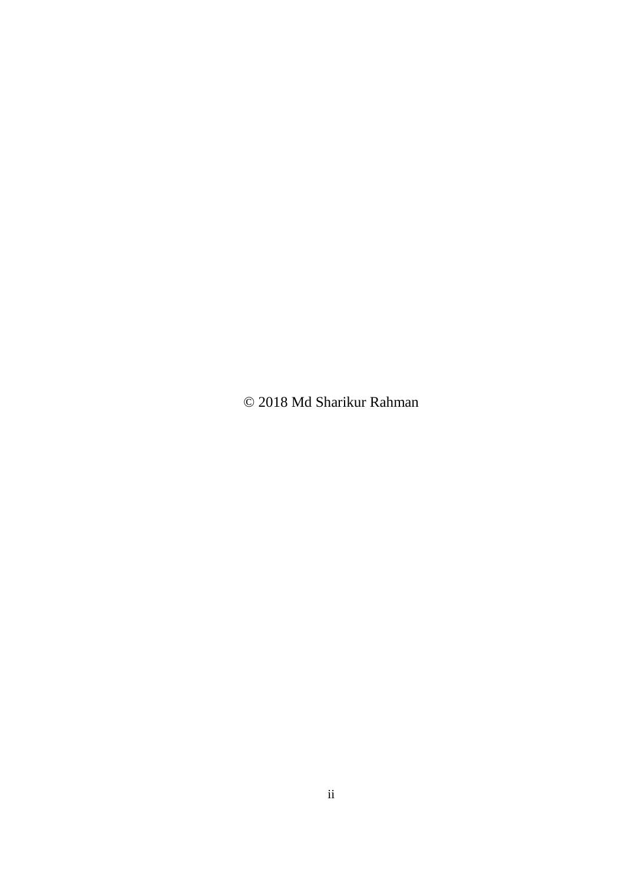© 2018 Md Sharikur Rahman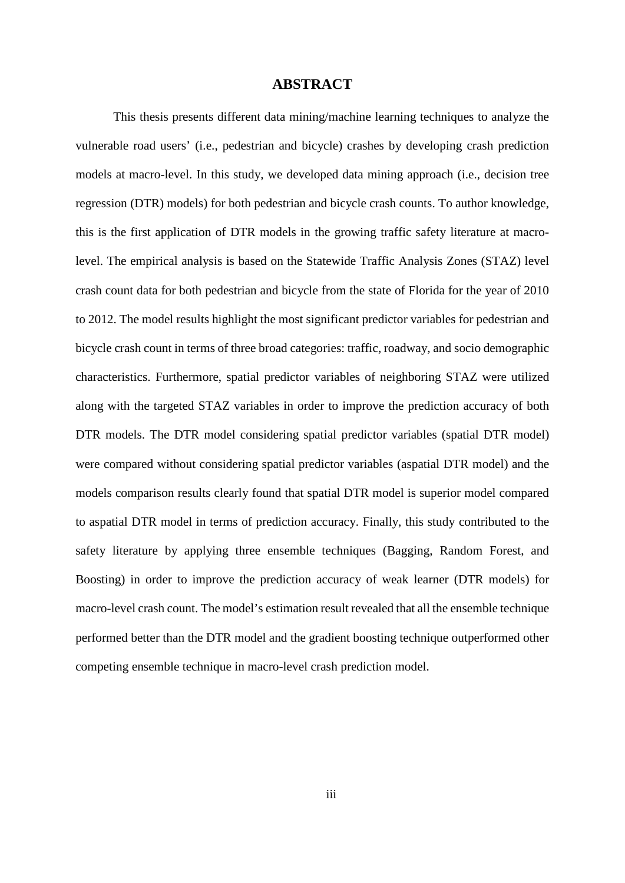#### **ABSTRACT**

This thesis presents different data mining/machine learning techniques to analyze the vulnerable road users' (i.e., pedestrian and bicycle) crashes by developing crash prediction models at macro-level. In this study, we developed data mining approach (i.e., decision tree regression (DTR) models) for both pedestrian and bicycle crash counts. To author knowledge, this is the first application of DTR models in the growing traffic safety literature at macrolevel. The empirical analysis is based on the Statewide Traffic Analysis Zones (STAZ) level crash count data for both pedestrian and bicycle from the state of Florida for the year of 2010 to 2012. The model results highlight the most significant predictor variables for pedestrian and bicycle crash count in terms of three broad categories: traffic, roadway, and socio demographic characteristics. Furthermore, spatial predictor variables of neighboring STAZ were utilized along with the targeted STAZ variables in order to improve the prediction accuracy of both DTR models. The DTR model considering spatial predictor variables (spatial DTR model) were compared without considering spatial predictor variables (aspatial DTR model) and the models comparison results clearly found that spatial DTR model is superior model compared to aspatial DTR model in terms of prediction accuracy. Finally, this study contributed to the safety literature by applying three ensemble techniques (Bagging, Random Forest, and Boosting) in order to improve the prediction accuracy of weak learner (DTR models) for macro-level crash count. The model's estimation result revealed that all the ensemble technique performed better than the DTR model and the gradient boosting technique outperformed other competing ensemble technique in macro-level crash prediction model.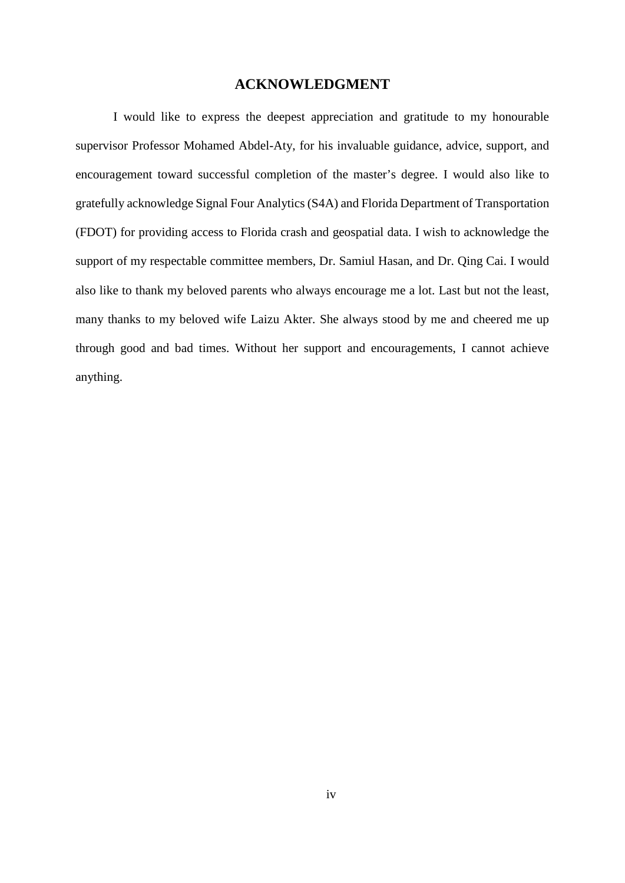#### **ACKNOWLEDGMENT**

I would like to express the deepest appreciation and gratitude to my honourable supervisor Professor Mohamed Abdel-Aty, for his invaluable guidance, advice, support, and encouragement toward successful completion of the master's degree. I would also like to gratefully acknowledge Signal Four Analytics (S4A) and Florida Department of Transportation (FDOT) for providing access to Florida crash and geospatial data. I wish to acknowledge the support of my respectable committee members, Dr. Samiul Hasan, and Dr. Qing Cai. I would also like to thank my beloved parents who always encourage me a lot. Last but not the least, many thanks to my beloved wife Laizu Akter. She always stood by me and cheered me up through good and bad times. Without her support and encouragements, I cannot achieve anything.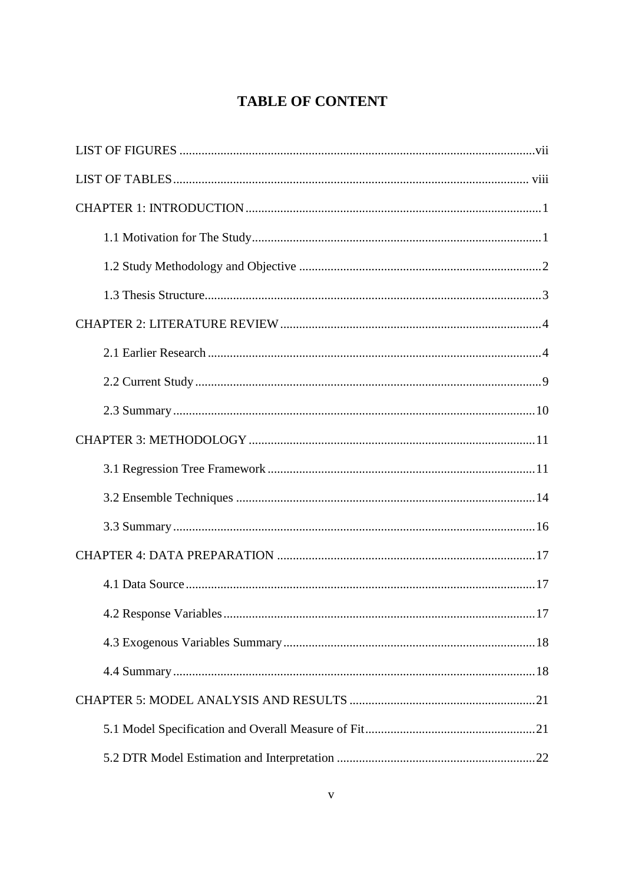# **TABLE OF CONTENT**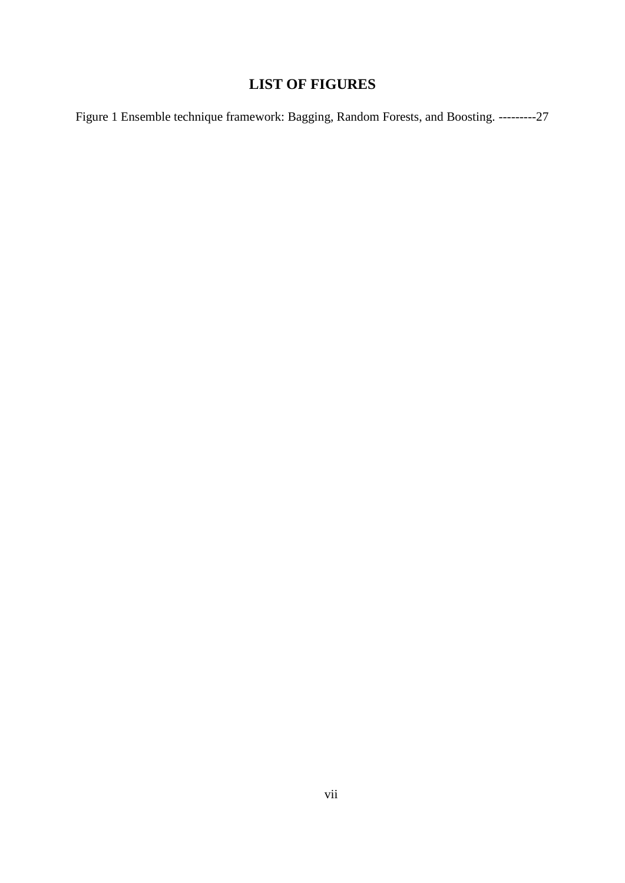# **LIST OF FIGURES**

<span id="page-7-0"></span>[Figure 1 Ensemble technique framework: Bagging, Random Forests, and Boosting.](#page-35-1) ---------27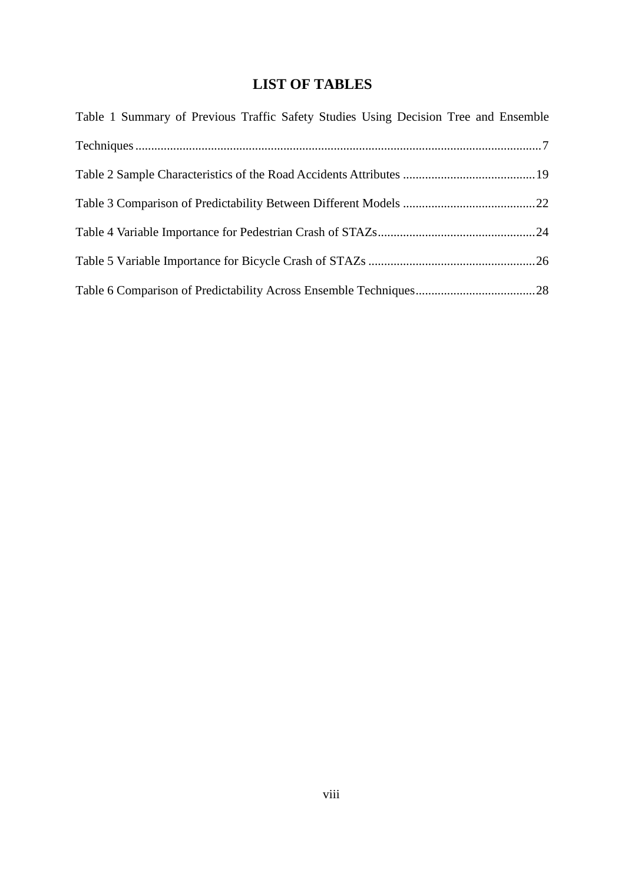# **LIST OF TABLES**

<span id="page-8-0"></span>

| Table 1 Summary of Previous Traffic Safety Studies Using Decision Tree and Ensemble |  |
|-------------------------------------------------------------------------------------|--|
|                                                                                     |  |
|                                                                                     |  |
|                                                                                     |  |
|                                                                                     |  |
|                                                                                     |  |
|                                                                                     |  |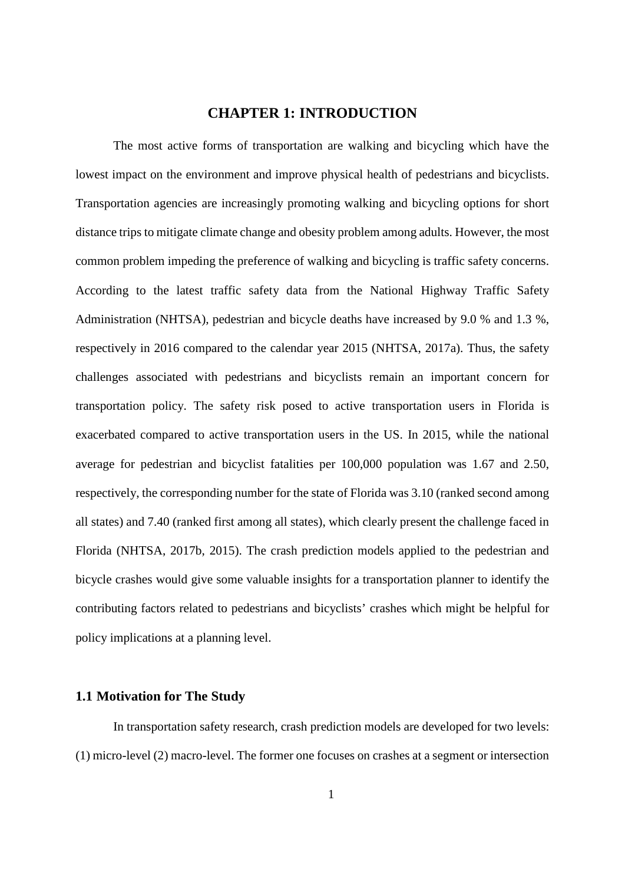## **CHAPTER 1: INTRODUCTION**

<span id="page-9-0"></span>The most active forms of transportation are walking and bicycling which have the lowest impact on the environment and improve physical health of pedestrians and bicyclists. Transportation agencies are increasingly promoting walking and bicycling options for short distance trips to mitigate climate change and obesity problem among adults. However, the most common problem impeding the preference of walking and bicycling is traffic safety concerns. According to the latest traffic safety data from the National Highway Traffic Safety Administration (NHTSA), pedestrian and bicycle deaths have increased by 9.0 % and 1.3 %, respectively in 2016 compared to the calendar year 2015 (NHTSA, 2017a). Thus, the safety challenges associated with pedestrians and bicyclists remain an important concern for transportation policy. The safety risk posed to active transportation users in Florida is exacerbated compared to active transportation users in the US. In 2015, while the national average for pedestrian and bicyclist fatalities per 100,000 population was 1.67 and 2.50, respectively, the corresponding number for the state of Florida was 3.10 (ranked second among all states) and 7.40 (ranked first among all states), which clearly present the challenge faced in Florida (NHTSA, 2017b, 2015). The crash prediction models applied to the pedestrian and bicycle crashes would give some valuable insights for a transportation planner to identify the contributing factors related to pedestrians and bicyclists' crashes which might be helpful for policy implications at a planning level.

## <span id="page-9-1"></span>**1.1 Motivation for The Study**

In transportation safety research, crash prediction models are developed for two levels: (1) micro-level (2) macro-level. The former one focuses on crashes at a segment or intersection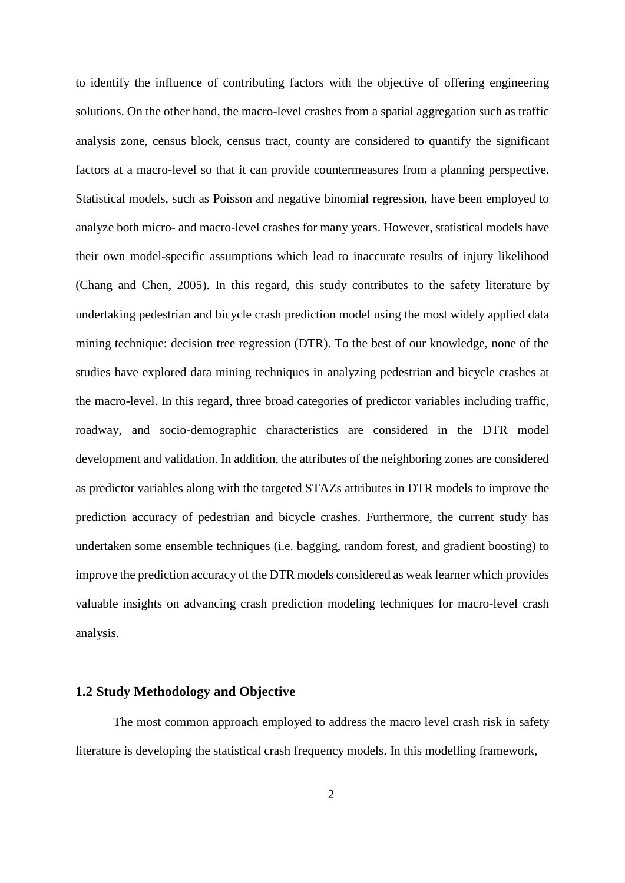to identify the influence of contributing factors with the objective of offering engineering solutions. On the other hand, the macro-level crashes from a spatial aggregation such as traffic analysis zone, census block, census tract, county are considered to quantify the significant factors at a macro-level so that it can provide countermeasures from a planning perspective. Statistical models, such as Poisson and negative binomial regression, have been employed to analyze both micro- and macro-level crashes for many years. However, statistical models have their own model-specific assumptions which lead to inaccurate results of injury likelihood (Chang and Chen, 2005). In this regard, this study contributes to the safety literature by undertaking pedestrian and bicycle crash prediction model using the most widely applied data mining technique: decision tree regression (DTR). To the best of our knowledge, none of the studies have explored data mining techniques in analyzing pedestrian and bicycle crashes at the macro-level. In this regard, three broad categories of predictor variables including traffic, roadway, and socio-demographic characteristics are considered in the DTR model development and validation. In addition, the attributes of the neighboring zones are considered as predictor variables along with the targeted STAZs attributes in DTR models to improve the prediction accuracy of pedestrian and bicycle crashes. Furthermore, the current study has undertaken some ensemble techniques (i.e. bagging, random forest, and gradient boosting) to improve the prediction accuracy of the DTR models considered as weak learner which provides valuable insights on advancing crash prediction modeling techniques for macro-level crash analysis.

#### <span id="page-10-0"></span>**1.2 Study Methodology and Objective**

The most common approach employed to address the macro level crash risk in safety literature is developing the statistical crash frequency models. In this modelling framework,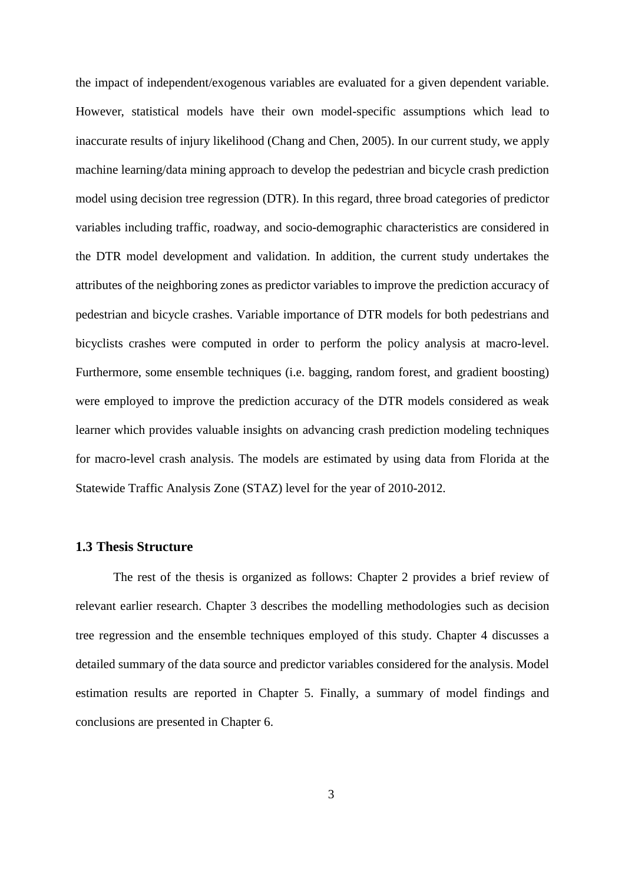the impact of independent/exogenous variables are evaluated for a given dependent variable. However, statistical models have their own model-specific assumptions which lead to inaccurate results of injury likelihood (Chang and Chen, 2005). In our current study, we apply machine learning/data mining approach to develop the pedestrian and bicycle crash prediction model using decision tree regression (DTR). In this regard, three broad categories of predictor variables including traffic, roadway, and socio-demographic characteristics are considered in the DTR model development and validation. In addition, the current study undertakes the attributes of the neighboring zones as predictor variables to improve the prediction accuracy of pedestrian and bicycle crashes. Variable importance of DTR models for both pedestrians and bicyclists crashes were computed in order to perform the policy analysis at macro-level. Furthermore, some ensemble techniques (i.e. bagging, random forest, and gradient boosting) were employed to improve the prediction accuracy of the DTR models considered as weak learner which provides valuable insights on advancing crash prediction modeling techniques for macro-level crash analysis. The models are estimated by using data from Florida at the Statewide Traffic Analysis Zone (STAZ) level for the year of 2010-2012.

### <span id="page-11-0"></span>**1.3 Thesis Structure**

The rest of the thesis is organized as follows: Chapter 2 provides a brief review of relevant earlier research. Chapter 3 describes the modelling methodologies such as decision tree regression and the ensemble techniques employed of this study. Chapter 4 discusses a detailed summary of the data source and predictor variables considered for the analysis. Model estimation results are reported in Chapter 5. Finally, a summary of model findings and conclusions are presented in Chapter 6.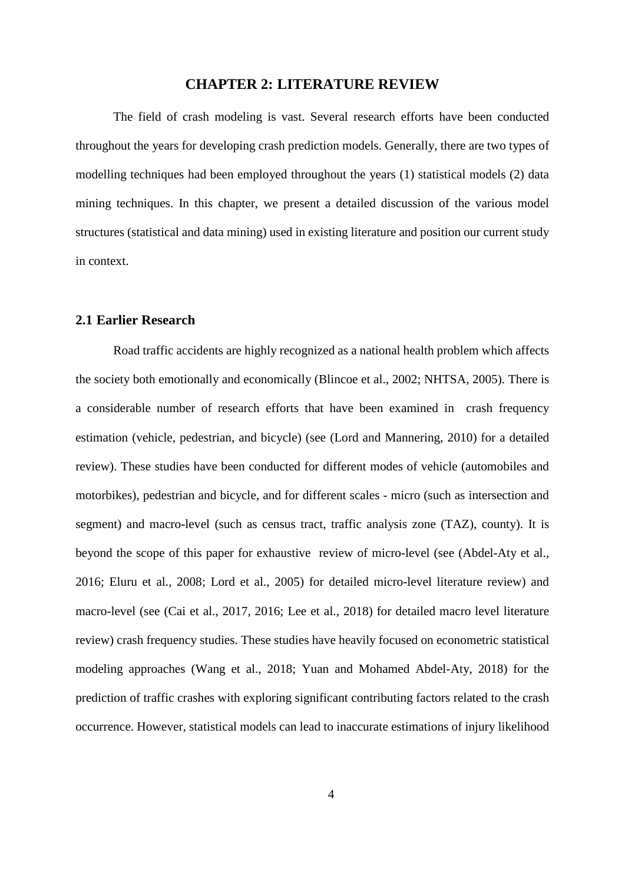## **CHAPTER 2: LITERATURE REVIEW**

<span id="page-12-0"></span>The field of crash modeling is vast. Several research efforts have been conducted throughout the years for developing crash prediction models. Generally, there are two types of modelling techniques had been employed throughout the years (1) statistical models (2) data mining techniques. In this chapter, we present a detailed discussion of the various model structures (statistical and data mining) used in existing literature and position our current study in context.

### <span id="page-12-1"></span>**2.1 Earlier Research**

Road traffic accidents are highly recognized as a national health problem which affects the society both emotionally and economically (Blincoe et al., 2002; NHTSA, 2005). There is a considerable number of research efforts that have been examined in crash frequency estimation (vehicle, pedestrian, and bicycle) (see (Lord and Mannering, 2010) for a detailed review). These studies have been conducted for different modes of vehicle (automobiles and motorbikes), pedestrian and bicycle, and for different scales - micro (such as intersection and segment) and macro-level (such as census tract, traffic analysis zone (TAZ), county). It is beyond the scope of this paper for exhaustive review of micro-level (see (Abdel-Aty et al., 2016; Eluru et al., 2008; Lord et al., 2005) for detailed micro-level literature review) and macro-level (see (Cai et al., 2017, 2016; Lee et al., 2018) for detailed macro level literature review) crash frequency studies. These studies have heavily focused on econometric statistical modeling approaches (Wang et al., 2018; Yuan and Mohamed Abdel-Aty, 2018) for the prediction of traffic crashes with exploring significant contributing factors related to the crash occurrence. However, statistical models can lead to inaccurate estimations of injury likelihood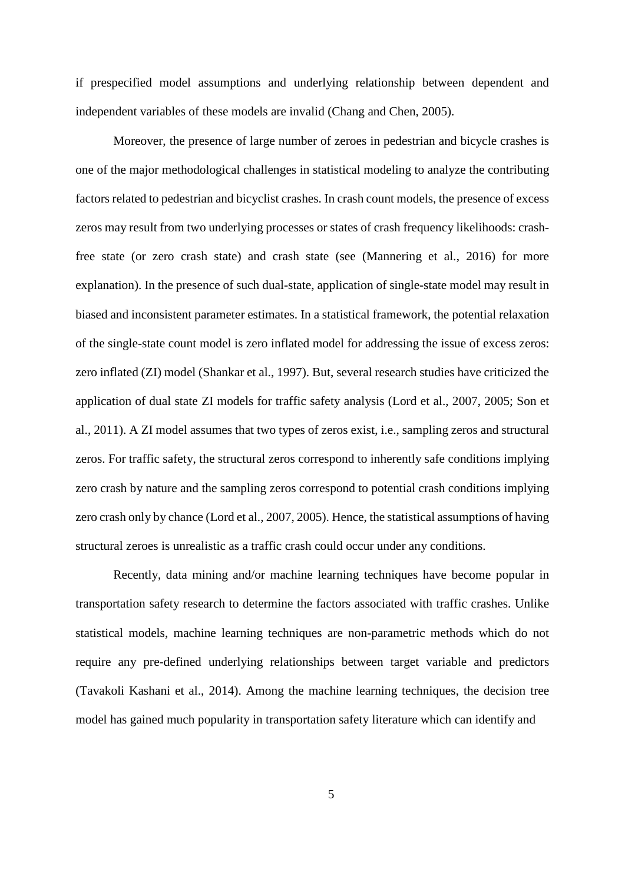if prespecified model assumptions and underlying relationship between dependent and independent variables of these models are invalid (Chang and Chen, 2005).

Moreover, the presence of large number of zeroes in pedestrian and bicycle crashes is one of the major methodological challenges in statistical modeling to analyze the contributing factors related to pedestrian and bicyclist crashes. In crash count models, the presence of excess zeros may result from two underlying processes or states of crash frequency likelihoods: crashfree state (or zero crash state) and crash state (see (Mannering et al., 2016) for more explanation). In the presence of such dual-state, application of single-state model may result in biased and inconsistent parameter estimates. In a statistical framework, the potential relaxation of the single-state count model is zero inflated model for addressing the issue of excess zeros: zero inflated (ZI) model (Shankar et al., 1997). But, several research studies have criticized the application of dual state ZI models for traffic safety analysis (Lord et al., 2007, 2005; Son et al., 2011). A ZI model assumes that two types of zeros exist, i.e., sampling zeros and structural zeros. For traffic safety, the structural zeros correspond to inherently safe conditions implying zero crash by nature and the sampling zeros correspond to potential crash conditions implying zero crash only by chance (Lord et al., 2007, 2005). Hence, the statistical assumptions of having structural zeroes is unrealistic as a traffic crash could occur under any conditions.

Recently, data mining and/or machine learning techniques have become popular in transportation safety research to determine the factors associated with traffic crashes. Unlike statistical models, machine learning techniques are non-parametric methods which do not require any pre-defined underlying relationships between target variable and predictors (Tavakoli Kashani et al., 2014). Among the machine learning techniques, the decision tree model has gained much popularity in transportation safety literature which can identify and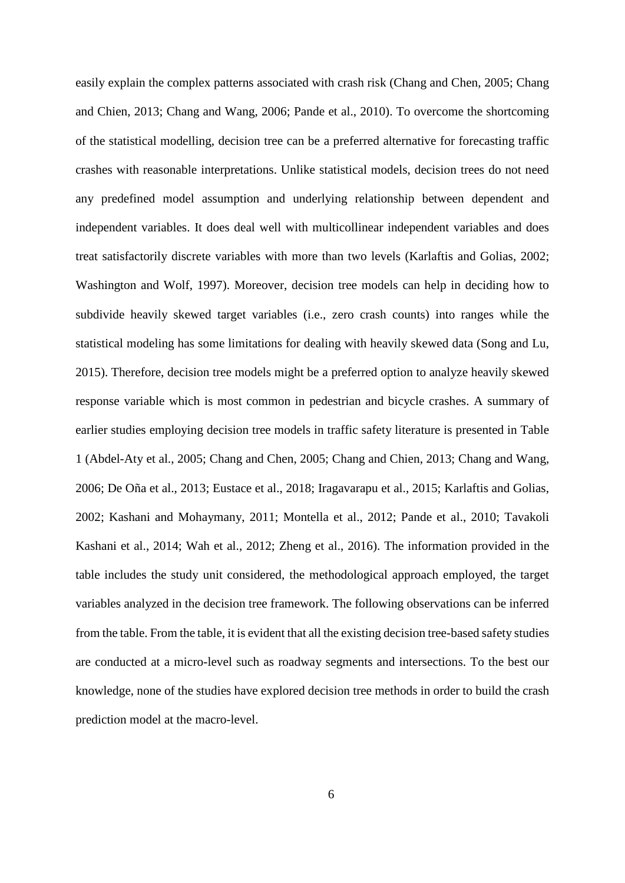easily explain the complex patterns associated with crash risk (Chang and Chen, 2005; Chang and Chien, 2013; Chang and Wang, 2006; Pande et al., 2010). To overcome the shortcoming of the statistical modelling, decision tree can be a preferred alternative for forecasting traffic crashes with reasonable interpretations. Unlike statistical models, decision trees do not need any predefined model assumption and underlying relationship between dependent and independent variables. It does deal well with multicollinear independent variables and does treat satisfactorily discrete variables with more than two levels (Karlaftis and Golias, 2002; Washington and Wolf, 1997). Moreover, decision tree models can help in deciding how to subdivide heavily skewed target variables (i.e., zero crash counts) into ranges while the statistical modeling has some limitations for dealing with heavily skewed data (Song and Lu, 2015). Therefore, decision tree models might be a preferred option to analyze heavily skewed response variable which is most common in pedestrian and bicycle crashes. A summary of earlier studies employing decision tree models in traffic safety literature is presented in Table 1 (Abdel-Aty et al., 2005; Chang and Chen, 2005; Chang and Chien, 2013; Chang and Wang, 2006; De Oña et al., 2013; Eustace et al., 2018; Iragavarapu et al., 2015; Karlaftis and Golias, 2002; Kashani and Mohaymany, 2011; Montella et al., 2012; Pande et al., 2010; Tavakoli Kashani et al., 2014; Wah et al., 2012; Zheng et al., 2016). The information provided in the table includes the study unit considered, the methodological approach employed, the target variables analyzed in the decision tree framework. The following observations can be inferred from the table. From the table, it is evident that all the existing decision tree-based safety studies are conducted at a micro-level such as roadway segments and intersections. To the best our knowledge, none of the studies have explored decision tree methods in order to build the crash prediction model at the macro-level.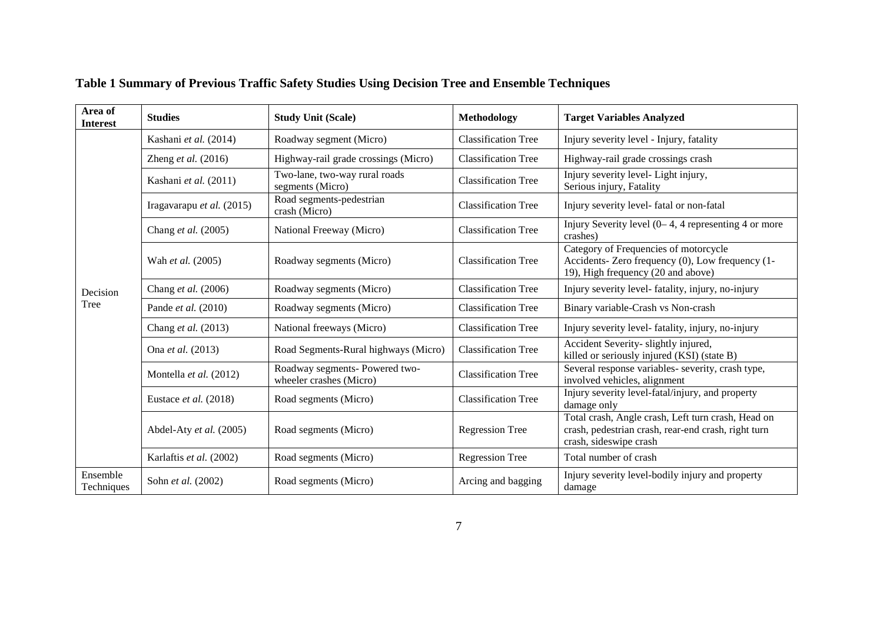<span id="page-15-0"></span>

| Area of<br><b>Interest</b> | <b>Studies</b>            | <b>Study Unit (Scale)</b>                                 | Methodology                | <b>Target Variables Analyzed</b>                                                                                                    |
|----------------------------|---------------------------|-----------------------------------------------------------|----------------------------|-------------------------------------------------------------------------------------------------------------------------------------|
|                            | Kashani et al. (2014)     | Roadway segment (Micro)                                   | <b>Classification Tree</b> | Injury severity level - Injury, fatality                                                                                            |
|                            | Zheng et al. $(2016)$     | Highway-rail grade crossings (Micro)                      | <b>Classification Tree</b> | Highway-rail grade crossings crash                                                                                                  |
|                            | Kashani et al. (2011)     | Two-lane, two-way rural roads<br>segments (Micro)         | <b>Classification Tree</b> | Injury severity level- Light injury,<br>Serious injury, Fatality                                                                    |
|                            | Iragavarapu et al. (2015) | Road segments-pedestrian<br>crash (Micro)                 | <b>Classification Tree</b> | Injury severity level- fatal or non-fatal                                                                                           |
|                            | Chang et al. (2005)       | National Freeway (Micro)                                  | <b>Classification Tree</b> | Injury Severity level $(0-4, 4)$ representing 4 or more<br>crashes)                                                                 |
| Decision<br>Tree           | Wah et al. (2005)         | Roadway segments (Micro)                                  | <b>Classification Tree</b> | Category of Frequencies of motorcycle<br>Accidents- Zero frequency (0), Low frequency (1-<br>19), High frequency (20 and above)     |
|                            | Chang et al. (2006)       | Roadway segments (Micro)                                  | <b>Classification Tree</b> | Injury severity level-fatality, injury, no-injury                                                                                   |
|                            | Pande et al. (2010)       | Roadway segments (Micro)                                  | <b>Classification Tree</b> | Binary variable-Crash vs Non-crash                                                                                                  |
|                            | Chang et al. (2013)       | National freeways (Micro)                                 | <b>Classification Tree</b> | Injury severity level- fatality, injury, no-injury                                                                                  |
|                            | Ona et al. (2013)         | Road Segments-Rural highways (Micro)                      | <b>Classification Tree</b> | Accident Severity-slightly injured,<br>killed or seriously injured (KSI) (state B)                                                  |
|                            | Montella et al. (2012)    | Roadway segments- Powered two-<br>wheeler crashes (Micro) | <b>Classification Tree</b> | Several response variables- severity, crash type,<br>involved vehicles, alignment                                                   |
|                            | Eustace et al. (2018)     | Road segments (Micro)                                     | <b>Classification Tree</b> | Injury severity level-fatal/injury, and property<br>damage only                                                                     |
|                            | Abdel-Aty et al. (2005)   | Road segments (Micro)                                     | <b>Regression Tree</b>     | Total crash, Angle crash, Left turn crash, Head on<br>crash, pedestrian crash, rear-end crash, right turn<br>crash, sideswipe crash |
|                            | Karlaftis et al. (2002)   | Road segments (Micro)                                     | <b>Regression Tree</b>     | Total number of crash                                                                                                               |
| Ensemble<br>Techniques     | Sohn et al. (2002)        | Road segments (Micro)                                     | Arcing and bagging         | Injury severity level-bodily injury and property<br>damage                                                                          |

# **Table 1 Summary of Previous Traffic Safety Studies Using Decision Tree and Ensemble Techniques**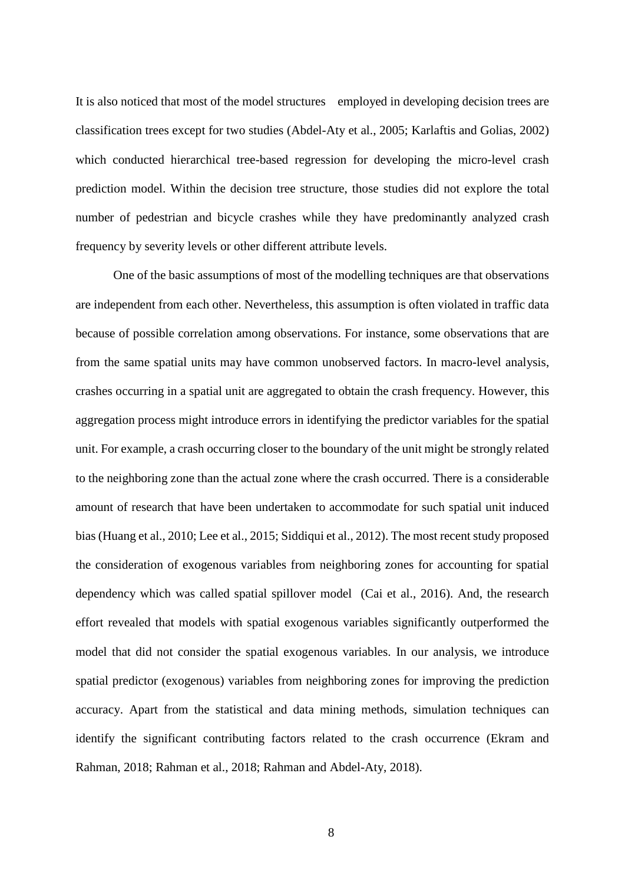It is also noticed that most of the model structures employed in developing decision trees are classification trees except for two studies (Abdel-Aty et al., 2005; Karlaftis and Golias, 2002) which conducted hierarchical tree-based regression for developing the micro-level crash prediction model. Within the decision tree structure, those studies did not explore the total number of pedestrian and bicycle crashes while they have predominantly analyzed crash frequency by severity levels or other different attribute levels.

One of the basic assumptions of most of the modelling techniques are that observations are independent from each other. Nevertheless, this assumption is often violated in traffic data because of possible correlation among observations. For instance, some observations that are from the same spatial units may have common unobserved factors. In macro-level analysis, crashes occurring in a spatial unit are aggregated to obtain the crash frequency. However, this aggregation process might introduce errors in identifying the predictor variables for the spatial unit. For example, a crash occurring closer to the boundary of the unit might be strongly related to the neighboring zone than the actual zone where the crash occurred. There is a considerable amount of research that have been undertaken to accommodate for such spatial unit induced bias (Huang et al., 2010; Lee et al., 2015; Siddiqui et al., 2012). The most recent study proposed the consideration of exogenous variables from neighboring zones for accounting for spatial dependency which was called spatial spillover model (Cai et al., 2016). And, the research effort revealed that models with spatial exogenous variables significantly outperformed the model that did not consider the spatial exogenous variables. In our analysis, we introduce spatial predictor (exogenous) variables from neighboring zones for improving the prediction accuracy. Apart from the statistical and data mining methods, simulation techniques can identify the significant contributing factors related to the crash occurrence (Ekram and Rahman, 2018; Rahman et al., 2018; Rahman and Abdel-Aty, 2018).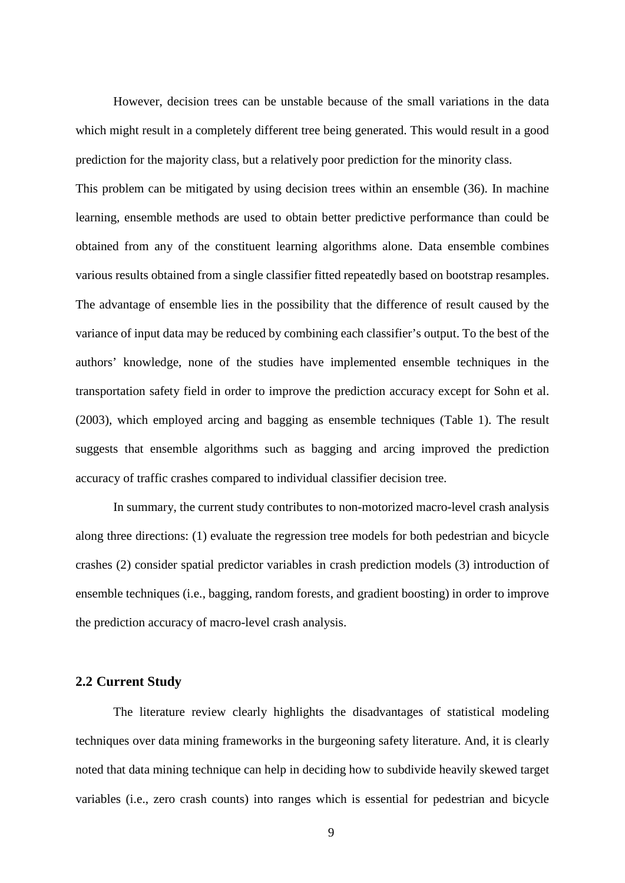However, decision trees can be unstable because of the small variations in the data which might result in a completely different tree being generated. This would result in a good prediction for the majority class, but a relatively poor prediction for the minority class.

This problem can be mitigated by using decision trees within an ensemble (36). In machine learning, ensemble methods are used to obtain better predictive performance than could be obtained from any of the constituent learning algorithms alone. Data ensemble combines various results obtained from a single classifier fitted repeatedly based on bootstrap resamples. The advantage of ensemble lies in the possibility that the difference of result caused by the variance of input data may be reduced by combining each classifier's output. To the best of the authors' knowledge, none of the studies have implemented ensemble techniques in the transportation safety field in order to improve the prediction accuracy except for Sohn et al. (2003), which employed arcing and bagging as ensemble techniques (Table 1). The result suggests that ensemble algorithms such as bagging and arcing improved the prediction accuracy of traffic crashes compared to individual classifier decision tree.

In summary, the current study contributes to non-motorized macro-level crash analysis along three directions: (1) evaluate the regression tree models for both pedestrian and bicycle crashes (2) consider spatial predictor variables in crash prediction models (3) introduction of ensemble techniques (i.e., bagging, random forests, and gradient boosting) in order to improve the prediction accuracy of macro-level crash analysis.

#### <span id="page-17-0"></span>**2.2 Current Study**

The literature review clearly highlights the disadvantages of statistical modeling techniques over data mining frameworks in the burgeoning safety literature. And, it is clearly noted that data mining technique can help in deciding how to subdivide heavily skewed target variables (i.e., zero crash counts) into ranges which is essential for pedestrian and bicycle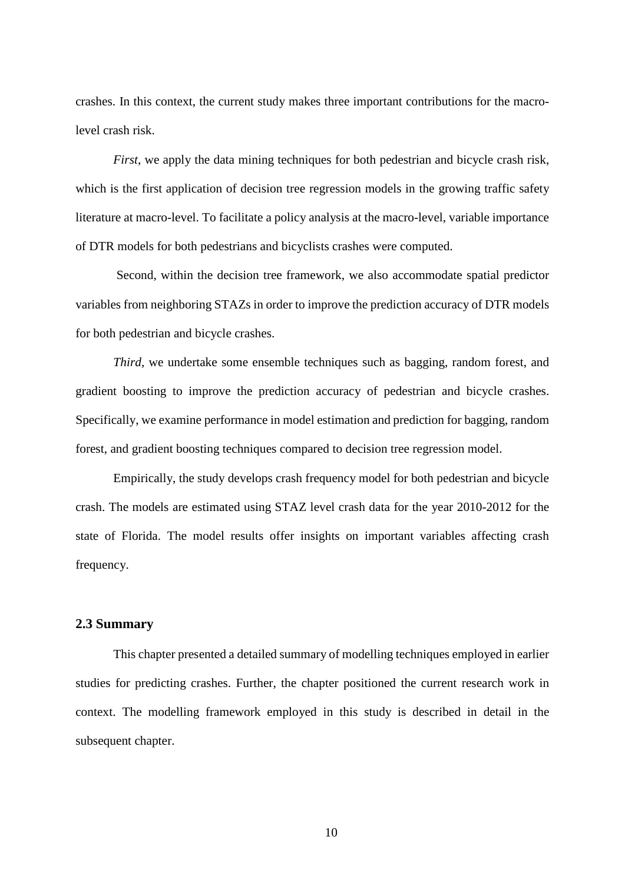crashes. In this context, the current study makes three important contributions for the macrolevel crash risk.

*First*, we apply the data mining techniques for both pedestrian and bicycle crash risk, which is the first application of decision tree regression models in the growing traffic safety literature at macro-level. To facilitate a policy analysis at the macro-level, variable importance of DTR models for both pedestrians and bicyclists crashes were computed.

Second, within the decision tree framework, we also accommodate spatial predictor variables from neighboring STAZs in order to improve the prediction accuracy of DTR models for both pedestrian and bicycle crashes.

*Third*, we undertake some ensemble techniques such as bagging, random forest, and gradient boosting to improve the prediction accuracy of pedestrian and bicycle crashes. Specifically, we examine performance in model estimation and prediction for bagging, random forest, and gradient boosting techniques compared to decision tree regression model.

Empirically, the study develops crash frequency model for both pedestrian and bicycle crash. The models are estimated using STAZ level crash data for the year 2010-2012 for the state of Florida. The model results offer insights on important variables affecting crash frequency.

#### <span id="page-18-0"></span>**2.3 Summary**

This chapter presented a detailed summary of modelling techniques employed in earlier studies for predicting crashes. Further, the chapter positioned the current research work in context. The modelling framework employed in this study is described in detail in the subsequent chapter.

10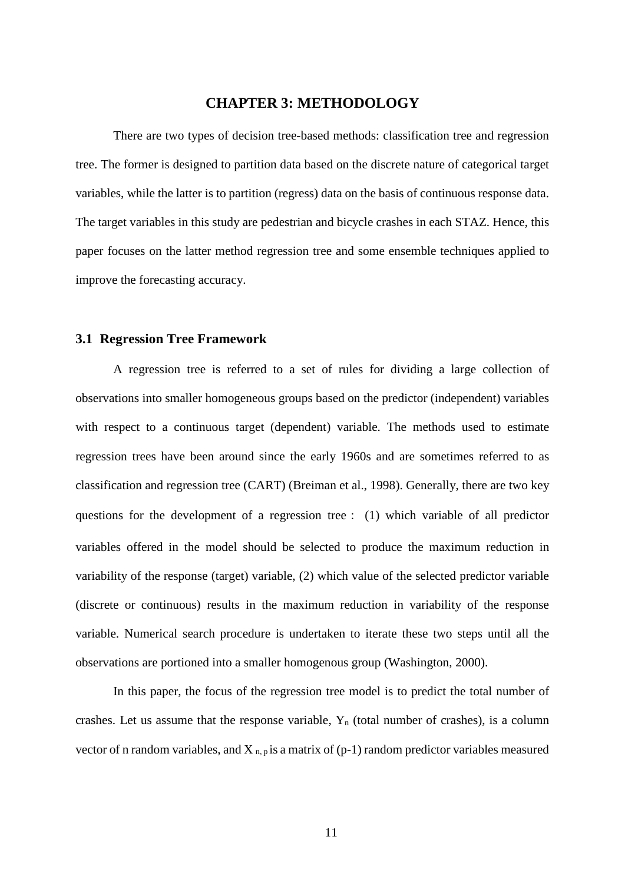# **CHAPTER 3: METHODOLOGY**

<span id="page-19-0"></span>There are two types of decision tree-based methods: classification tree and regression tree. The former is designed to partition data based on the discrete nature of categorical target variables, while the latter is to partition (regress) data on the basis of continuous response data. The target variables in this study are pedestrian and bicycle crashes in each STAZ. Hence, this paper focuses on the latter method regression tree and some ensemble techniques applied to improve the forecasting accuracy.

#### <span id="page-19-1"></span>**3.1 Regression Tree Framework**

A regression tree is referred to a set of rules for dividing a large collection of observations into smaller homogeneous groups based on the predictor (independent) variables with respect to a continuous target (dependent) variable. The methods used to estimate regression trees have been around since the early 1960s and are sometimes referred to as classification and regression tree (CART) (Breiman et al., 1998). Generally, there are two key questions for the development of a regression tree: (1) which variable of all predictor variables offered in the model should be selected to produce the maximum reduction in variability of the response (target) variable, (2) which value of the selected predictor variable (discrete or continuous) results in the maximum reduction in variability of the response variable. Numerical search procedure is undertaken to iterate these two steps until all the observations are portioned into a smaller homogenous group (Washington, 2000).

In this paper, the focus of the regression tree model is to predict the total number of crashes. Let us assume that the response variable,  $Y_n$  (total number of crashes), is a column vector of n random variables, and  $X_{n,p}$  is a matrix of (p-1) random predictor variables measured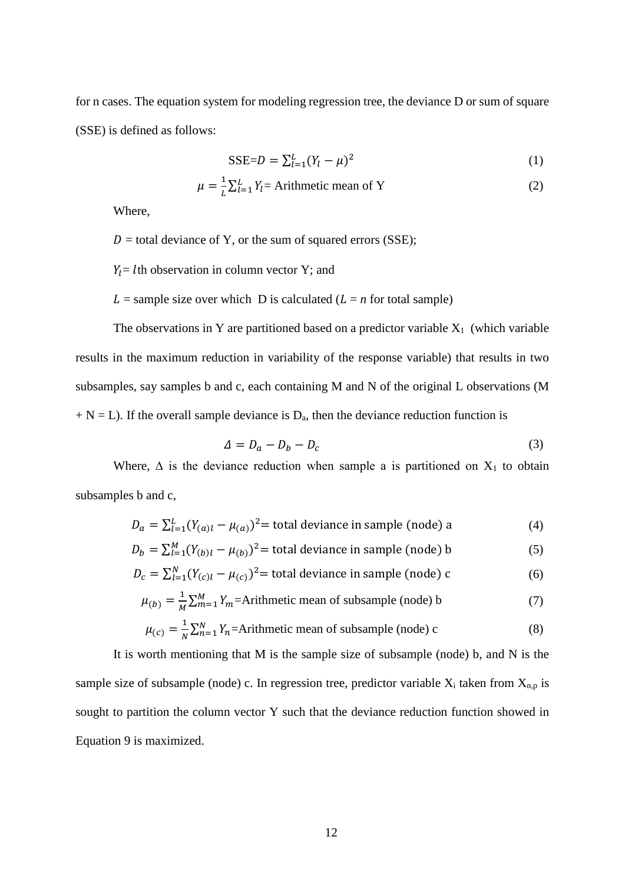for n cases. The equation system for modeling regression tree, the deviance D or sum of square (SSE) is defined as follows:

$$
SSE = D = \sum_{l=1}^{L} (Y_l - \mu)^2
$$
 (1)

$$
\mu = \frac{1}{L} \sum_{l=1}^{L} Y_l = \text{Arithmetic mean of Y}
$$
 (2)

Where,

 $D =$  total deviance of Y, or the sum of squared errors (SSE);

 $Y_1 = l$ th observation in column vector Y; and

 $L =$  sample size over which D is calculated ( $L = n$  for total sample)

The observations in Y are partitioned based on a predictor variable  $X_1$  (which variable results in the maximum reduction in variability of the response variable) that results in two subsamples, say samples b and c, each containing M and N of the original L observations (M  $+ N = L$ ). If the overall sample deviance is  $D_a$ , then the deviance reduction function is

$$
\Delta = D_a - D_b - D_c \tag{3}
$$

Where,  $\Delta$  is the deviance reduction when sample a is partitioned on  $X_1$  to obtain subsamples b and c,

$$
D_a = \sum_{l=1}^{L} (Y_{(a)l} - \mu_{(a)})^2 = \text{total deviance in sample (node) a} \tag{4}
$$

 $D_b = \sum_{l=1}^{M} (Y_{(b)l} - \mu_{(b)})^2$  = total deviance in sample (node) b (5)

$$
D_c = \sum_{l=1}^{N} (Y_{(c)l} - \mu_{(c)})^2 = \text{total deviance in sample (node) c}
$$
 (6)

$$
\mu_{(b)} = \frac{1}{M} \sum_{m=1}^{M} Y_m = \text{Arithmetic mean of subsample (node) b} \tag{7}
$$

$$
\mu_{(c)} = \frac{1}{N} \sum_{n=1}^{N} Y_n = \text{Arithmetic mean of subsample (node) c}
$$
 (8)

It is worth mentioning that M is the sample size of subsample (node) b, and N is the sample size of subsample (node) c. In regression tree, predictor variable  $X_i$  taken from  $X_{n,p}$  is sought to partition the column vector Y such that the deviance reduction function showed in Equation 9 is maximized.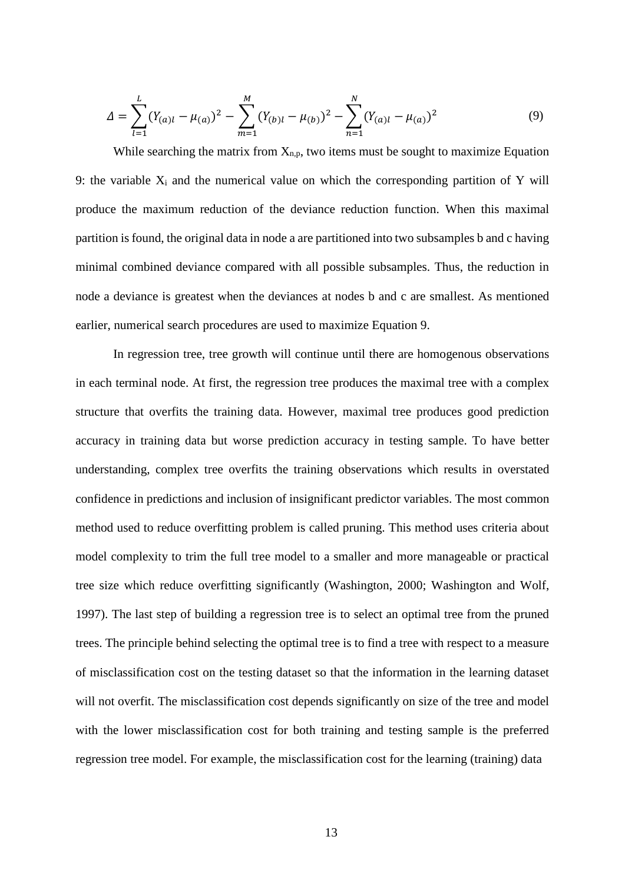$$
\Delta = \sum_{l=1}^{L} (Y_{(a)l} - \mu_{(a)})^2 - \sum_{m=1}^{M} (Y_{(b)l} - \mu_{(b)})^2 - \sum_{n=1}^{N} (Y_{(a)l} - \mu_{(a)})^2
$$
(9)

While searching the matrix from  $X_{n,p}$ , two items must be sought to maximize Equation 9: the variable  $X_i$  and the numerical value on which the corresponding partition of Y will produce the maximum reduction of the deviance reduction function. When this maximal partition is found, the original data in node a are partitioned into two subsamples b and c having minimal combined deviance compared with all possible subsamples. Thus, the reduction in node a deviance is greatest when the deviances at nodes b and c are smallest. As mentioned earlier, numerical search procedures are used to maximize Equation 9.

In regression tree, tree growth will continue until there are homogenous observations in each terminal node. At first, the regression tree produces the maximal tree with a complex structure that overfits the training data. However, maximal tree produces good prediction accuracy in training data but worse prediction accuracy in testing sample. To have better understanding, complex tree overfits the training observations which results in overstated confidence in predictions and inclusion of insignificant predictor variables. The most common method used to reduce overfitting problem is called pruning. This method uses criteria about model complexity to trim the full tree model to a smaller and more manageable or practical tree size which reduce overfitting significantly (Washington, 2000; Washington and Wolf, 1997). The last step of building a regression tree is to select an optimal tree from the pruned trees. The principle behind selecting the optimal tree is to find a tree with respect to a measure of misclassification cost on the testing dataset so that the information in the learning dataset will not overfit. The misclassification cost depends significantly on size of the tree and model with the lower misclassification cost for both training and testing sample is the preferred regression tree model. For example, the misclassification cost for the learning (training) data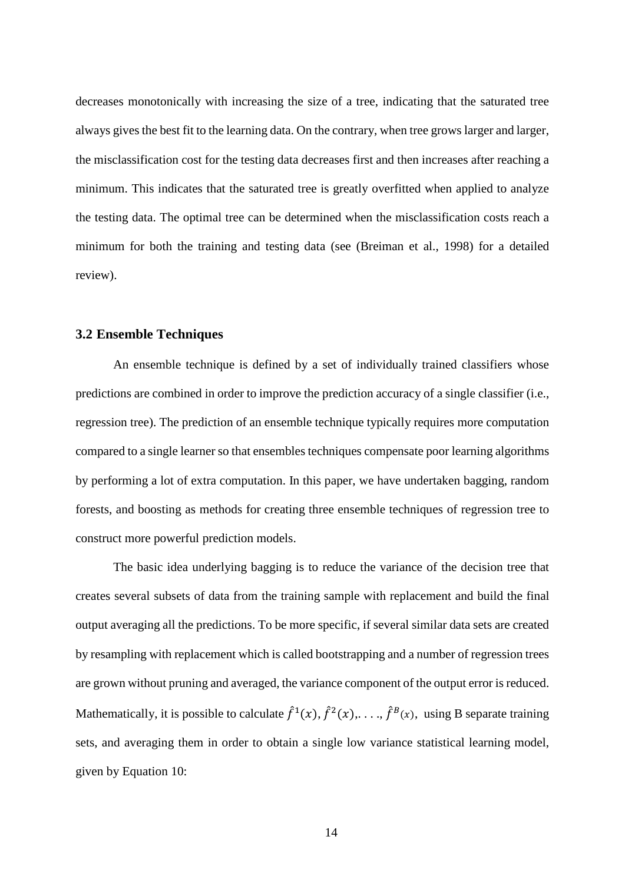decreases monotonically with increasing the size of a tree, indicating that the saturated tree always gives the best fit to the learning data. On the contrary, when tree grows larger and larger, the misclassification cost for the testing data decreases first and then increases after reaching a minimum. This indicates that the saturated tree is greatly overfitted when applied to analyze the testing data. The optimal tree can be determined when the misclassification costs reach a minimum for both the training and testing data (see (Breiman et al., 1998) for a detailed review).

#### <span id="page-22-0"></span>**3.2 Ensemble Techniques**

An ensemble technique is defined by a set of individually trained classifiers whose predictions are combined in order to improve the prediction accuracy of a single classifier (i.e., regression tree). The prediction of an ensemble technique typically requires more computation compared to a single learner so that ensembles techniques compensate poor learning algorithms by performing a lot of extra computation. In this paper, we have undertaken bagging, random forests, and boosting as methods for creating three ensemble techniques of regression tree to construct more powerful prediction models.

The basic idea underlying bagging is to reduce the variance of the decision tree that creates several subsets of data from the training sample with replacement and build the final output averaging all the predictions. To be more specific, if several similar data sets are created by resampling with replacement which is called bootstrapping and a number of regression trees are grown without pruning and averaged, the variance component of the output error is reduced. Mathematically, it is possible to calculate  $\hat{f}^1(x)$ ,  $\hat{f}^2(x)$ ,...,  $\hat{f}^B(x)$ , using B separate training sets, and averaging them in order to obtain a single low variance statistical learning model, given by Equation 10: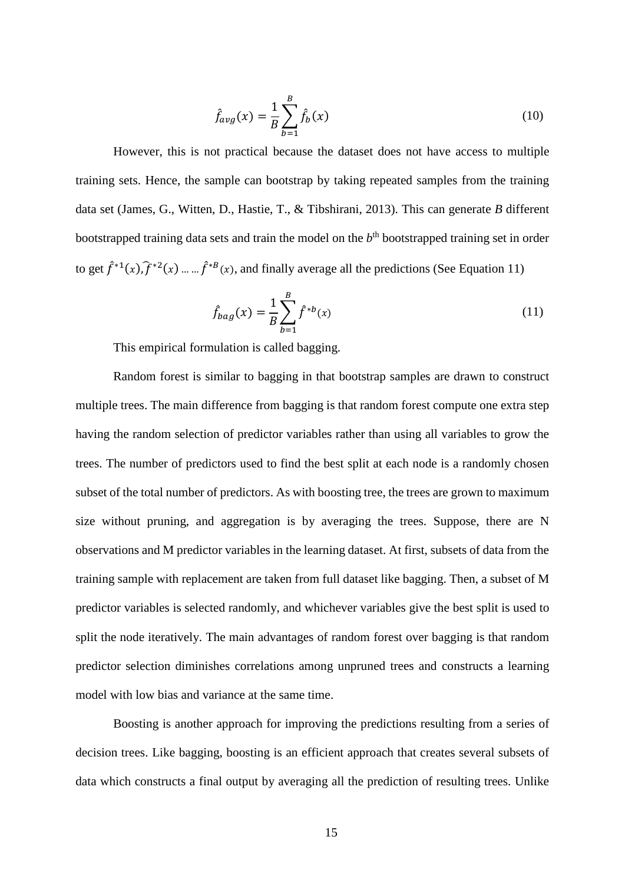$$
\hat{f}_{avg}(x) = \frac{1}{B} \sum_{b=1}^{B} \hat{f}_b(x)
$$
\n(10)

However, this is not practical because the dataset does not have access to multiple training sets. Hence, the sample can bootstrap by taking repeated samples from the training data set (James, G., Witten, D., Hastie, T., & Tibshirani, 2013). This can generate *B* different bootstrapped training data sets and train the model on the *b*th bootstrapped training set in order to get  $f^{*1}(x)$ ,  $f^{*2}(x)$  ... ...  $f^{*B}(x)$ , and finally average all the predictions (See Equation 11)

$$
\hat{f}_{bag}(x) = \frac{1}{B} \sum_{b=1}^{B} \hat{f}^{*b}(x)
$$
\n(11)

This empirical formulation is called bagging.

Random forest is similar to bagging in that bootstrap samples are drawn to construct multiple trees. The main difference from bagging is that random forest compute one extra step having the random selection of predictor variables rather than using all variables to grow the trees. The number of predictors used to find the best split at each node is a randomly chosen subset of the total number of predictors. As with boosting tree, the trees are grown to maximum size without pruning, and aggregation is by averaging the trees. Suppose, there are N observations and M predictor variables in the learning dataset. At first, subsets of data from the training sample with replacement are taken from full dataset like bagging. Then, a subset of M predictor variables is selected randomly, and whichever variables give the best split is used to split the node iteratively. The main advantages of random forest over bagging is that random predictor selection diminishes correlations among unpruned trees and constructs a learning model with low bias and variance at the same time.

Boosting is another approach for improving the predictions resulting from a series of decision trees. Like bagging, boosting is an efficient approach that creates several subsets of data which constructs a final output by averaging all the prediction of resulting trees. Unlike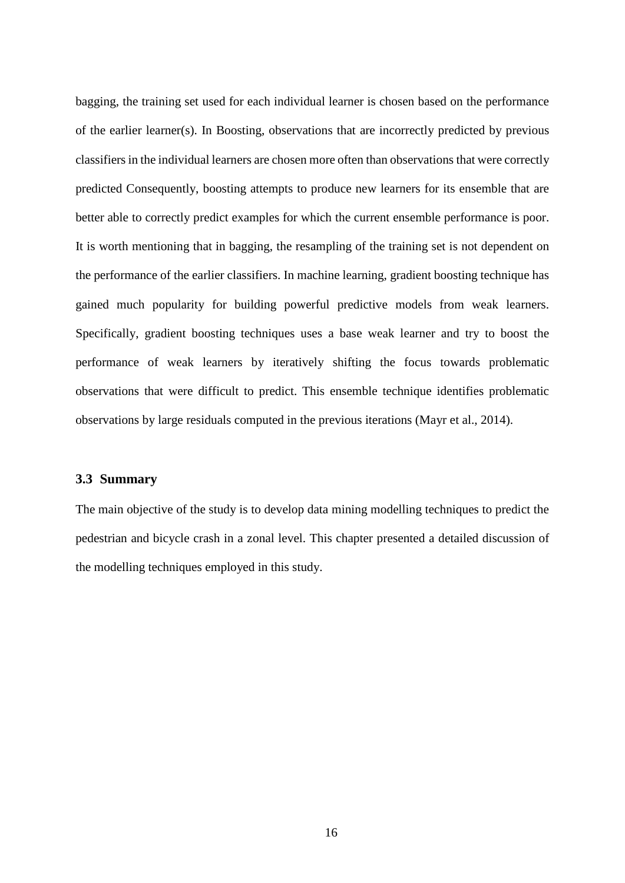bagging, the training set used for each individual learner is chosen based on the performance of the earlier learner(s). In Boosting, observations that are incorrectly predicted by previous classifiers in the individual learners are chosen more often than observations that were correctly predicted Consequently, boosting attempts to produce new learners for its ensemble that are better able to correctly predict examples for which the current ensemble performance is poor. It is worth mentioning that in bagging, the resampling of the training set is not dependent on the performance of the earlier classifiers. In machine learning, gradient boosting technique has gained much popularity for building powerful predictive models from weak learners. Specifically, gradient boosting techniques uses a base weak learner and try to boost the performance of weak learners by iteratively shifting the focus towards problematic observations that were difficult to predict. This ensemble technique identifies problematic observations by large residuals computed in the previous iterations (Mayr et al., 2014).

#### <span id="page-24-0"></span>**3.3 Summary**

The main objective of the study is to develop data mining modelling techniques to predict the pedestrian and bicycle crash in a zonal level. This chapter presented a detailed discussion of the modelling techniques employed in this study.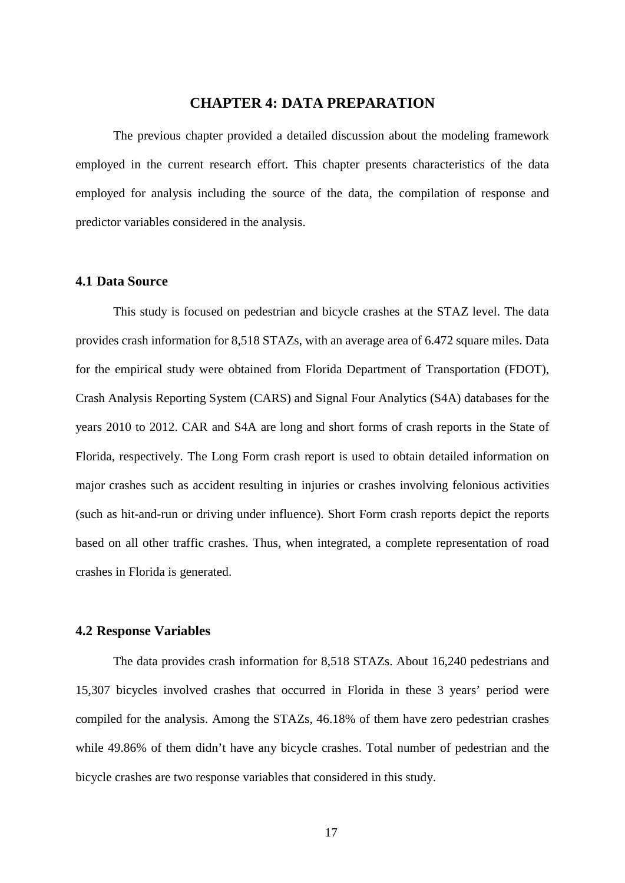## **CHAPTER 4: DATA PREPARATION**

<span id="page-25-0"></span>The previous chapter provided a detailed discussion about the modeling framework employed in the current research effort. This chapter presents characteristics of the data employed for analysis including the source of the data, the compilation of response and predictor variables considered in the analysis.

#### <span id="page-25-1"></span>**4.1 Data Source**

This study is focused on pedestrian and bicycle crashes at the STAZ level. The data provides crash information for 8,518 STAZs, with an average area of 6.472 square miles. Data for the empirical study were obtained from Florida Department of Transportation (FDOT), Crash Analysis Reporting System (CARS) and Signal Four Analytics (S4A) databases for the years 2010 to 2012. CAR and S4A are long and short forms of crash reports in the State of Florida, respectively. The Long Form crash report is used to obtain detailed information on major crashes such as accident resulting in injuries or crashes involving felonious activities (such as hit-and-run or driving under influence). Short Form crash reports depict the reports based on all other traffic crashes. Thus, when integrated, a complete representation of road crashes in Florida is generated.

### <span id="page-25-2"></span>**4.2 Response Variables**

The data provides crash information for 8,518 STAZs. About 16,240 pedestrians and 15,307 bicycles involved crashes that occurred in Florida in these 3 years' period were compiled for the analysis. Among the STAZs, 46.18% of them have zero pedestrian crashes while 49.86% of them didn't have any bicycle crashes. Total number of pedestrian and the bicycle crashes are two response variables that considered in this study.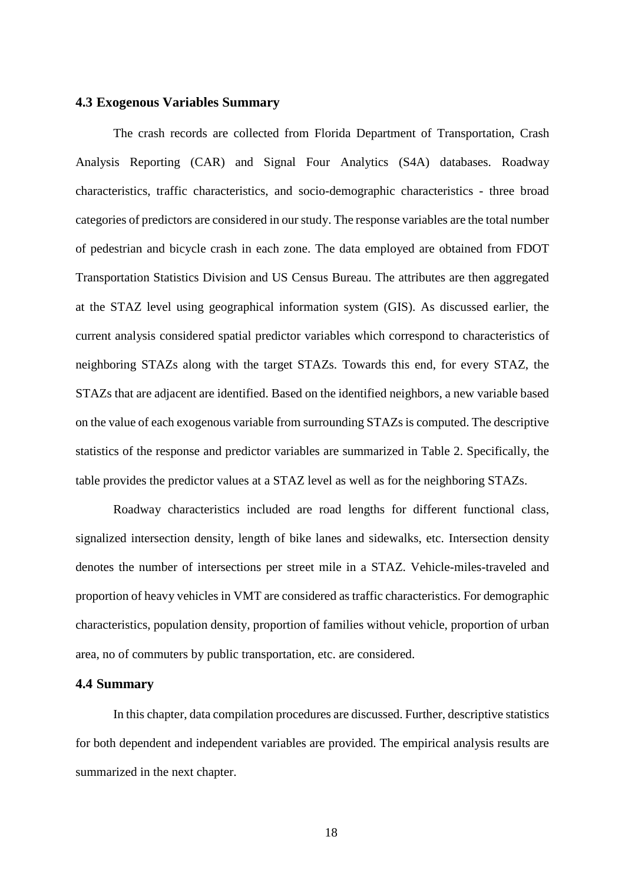#### <span id="page-26-0"></span>**4.3 Exogenous Variables Summary**

The crash records are collected from Florida Department of Transportation, Crash Analysis Reporting (CAR) and Signal Four Analytics (S4A) databases. Roadway characteristics, traffic characteristics, and socio-demographic characteristics - three broad categories of predictors are considered in our study. The response variables are the total number of pedestrian and bicycle crash in each zone. The data employed are obtained from FDOT Transportation Statistics Division and US Census Bureau. The attributes are then aggregated at the STAZ level using geographical information system (GIS). As discussed earlier, the current analysis considered spatial predictor variables which correspond to characteristics of neighboring STAZs along with the target STAZs. Towards this end, for every STAZ, the STAZs that are adjacent are identified. Based on the identified neighbors, a new variable based on the value of each exogenous variable from surrounding STAZs is computed. The descriptive statistics of the response and predictor variables are summarized in Table 2. Specifically, the table provides the predictor values at a STAZ level as well as for the neighboring STAZs.

Roadway characteristics included are road lengths for different functional class, signalized intersection density, length of bike lanes and sidewalks, etc. Intersection density denotes the number of intersections per street mile in a STAZ. Vehicle-miles-traveled and proportion of heavy vehicles in VMT are considered as traffic characteristics. For demographic characteristics, population density, proportion of families without vehicle, proportion of urban area, no of commuters by public transportation, etc. are considered.

#### <span id="page-26-1"></span>**4.4 Summary**

In this chapter, data compilation procedures are discussed. Further, descriptive statistics for both dependent and independent variables are provided. The empirical analysis results are summarized in the next chapter.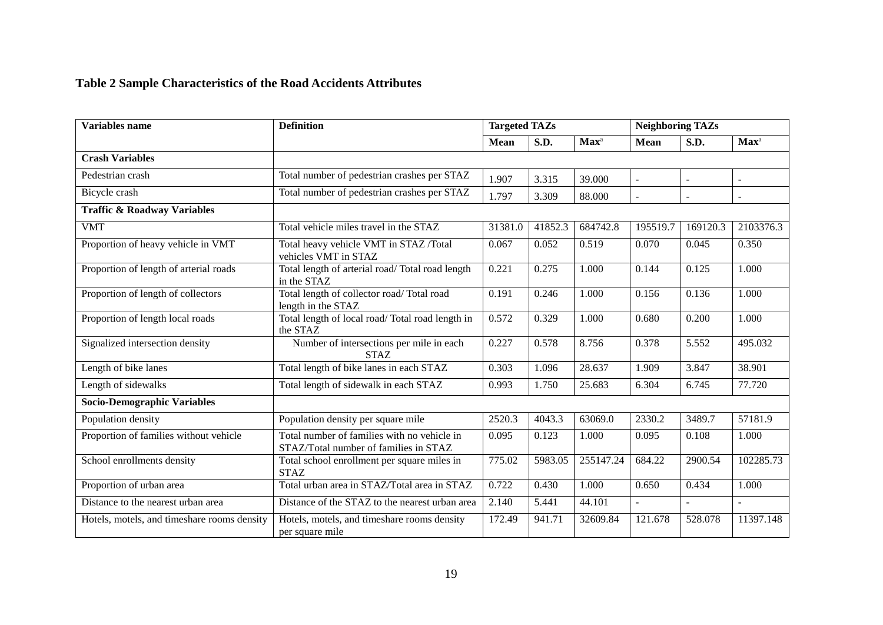# **Table 2 Sample Characteristics of the Road Accidents Attributes**

<span id="page-27-0"></span>

| <b>Variables name</b>                       | <b>Definition</b>                                                                    | <b>Targeted TAZs</b> |             |                  | <b>Neighboring TAZs</b> |                          |                          |
|---------------------------------------------|--------------------------------------------------------------------------------------|----------------------|-------------|------------------|-------------------------|--------------------------|--------------------------|
|                                             |                                                                                      | <b>Mean</b>          | <b>S.D.</b> | Max <sup>a</sup> | <b>Mean</b>             | S.D.                     | Max <sup>a</sup>         |
| <b>Crash Variables</b>                      |                                                                                      |                      |             |                  |                         |                          |                          |
| Pedestrian crash                            | Total number of pedestrian crashes per STAZ                                          | 1.907                | 3.315       | 39.000           |                         | ÷.                       | ٠                        |
| Bicycle crash                               | Total number of pedestrian crashes per STAZ                                          | 1.797                | 3.309       | 88.000           |                         | $\overline{\phantom{a}}$ |                          |
| <b>Traffic &amp; Roadway Variables</b>      |                                                                                      |                      |             |                  |                         |                          |                          |
| <b>VMT</b>                                  | Total vehicle miles travel in the STAZ                                               | 31381.0              | 41852.3     | 684742.8         | 195519.7                | 169120.3                 | 2103376.3                |
| Proportion of heavy vehicle in VMT          | Total heavy vehicle VMT in STAZ /Total<br>vehicles VMT in STAZ                       | 0.067                | 0.052       | 0.519            | 0.070                   | 0.045                    | 0.350                    |
| Proportion of length of arterial roads      | Total length of arterial road/Total road length<br>in the STAZ                       | 0.221                | 0.275       | 1.000            | 0.144                   | 0.125                    | 1.000                    |
| Proportion of length of collectors          | Total length of collector road/Total road<br>length in the STAZ                      | 0.191                | 0.246       | 1.000            | 0.156                   | 0.136                    | 1.000                    |
| Proportion of length local roads            | Total length of local road/Total road length in<br>the STAZ                          | 0.572                | 0.329       | 1.000            | 0.680                   | 0.200                    | 1.000                    |
| Signalized intersection density             | Number of intersections per mile in each<br><b>STAZ</b>                              | 0.227                | 0.578       | 8.756            | 0.378                   | 5.552                    | 495.032                  |
| Length of bike lanes                        | Total length of bike lanes in each STAZ                                              | 0.303                | 1.096       | 28.637           | 1.909                   | 3.847                    | 38.901                   |
| Length of sidewalks                         | Total length of sidewalk in each STAZ                                                | 0.993                | 1.750       | 25.683           | 6.304                   | 6.745                    | 77.720                   |
| <b>Socio-Demographic Variables</b>          |                                                                                      |                      |             |                  |                         |                          |                          |
| Population density                          | Population density per square mile                                                   | 2520.3               | 4043.3      | 63069.0          | 2330.2                  | 3489.7                   | 57181.9                  |
| Proportion of families without vehicle      | Total number of families with no vehicle in<br>STAZ/Total number of families in STAZ | 0.095                | 0.123       | 1.000            | 0.095                   | 0.108                    | 1.000                    |
| School enrollments density                  | Total school enrollment per square miles in<br><b>STAZ</b>                           | 775.02               | 5983.05     | 255147.24        | 684.22                  | 2900.54                  | 102285.73                |
| Proportion of urban area                    | Total urban area in STAZ/Total area in STAZ                                          | 0.722                | 0.430       | 1.000            | 0.650                   | 0.434                    | 1.000                    |
| Distance to the nearest urban area          | Distance of the STAZ to the nearest urban area                                       | 2.140                | 5.441       | 44.101           | $\equiv$                | $\blacksquare$           | $\overline{\phantom{a}}$ |
| Hotels, motels, and timeshare rooms density | Hotels, motels, and timeshare rooms density<br>per square mile                       | 172.49               | 941.71      | 32609.84         | 121.678                 | 528.078                  | 11397.148                |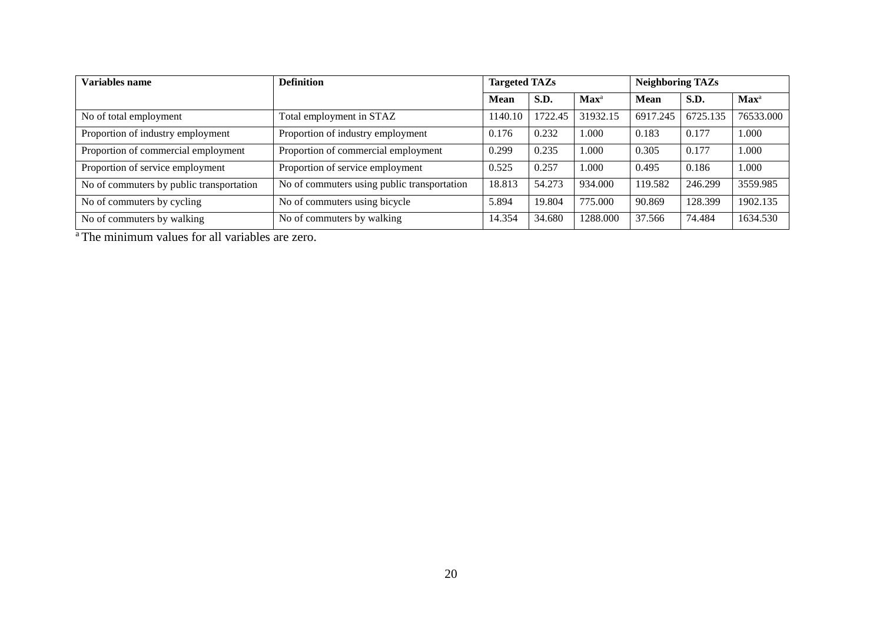| <b>Variables name</b>                    | <b>Definition</b>                           | <b>Targeted TAZs</b> |         |                             | <b>Neighboring TAZs</b> |             |                             |
|------------------------------------------|---------------------------------------------|----------------------|---------|-----------------------------|-------------------------|-------------|-----------------------------|
|                                          |                                             | <b>Mean</b>          | S.D.    | $\mathbf{Max}^{\mathrm{a}}$ | Mean                    | <b>S.D.</b> | $\mathbf{Max}^{\mathrm{a}}$ |
| No of total employment                   | Total employment in STAZ                    | 1140.10              | 1722.45 | 31932.15                    | 6917.245                | 6725.135    | 76533.000                   |
| Proportion of industry employment        | Proportion of industry employment           | 0.176                | 0.232   | 1.000                       | 0.183                   | 0.177       | 1.000                       |
| Proportion of commercial employment      | Proportion of commercial employment         | 0.299                | 0.235   | 1.000                       | 0.305                   | 0.177       | 1.000                       |
| Proportion of service employment         | Proportion of service employment            | 0.525                | 0.257   | 1.000                       | 0.495                   | 0.186       | 1.000                       |
| No of commuters by public transportation | No of commuters using public transportation | 18.813               | 54.273  | 934.000                     | 119.582                 | 246.299     | 3559.985                    |
| No of commuters by cycling               | No of commuters using bicycle               | 5.894                | 19.804  | 775.000                     | 90.869                  | 128.399     | 1902.135                    |
| No of commuters by walking               | No of commuters by walking                  | 14.354               | 34.680  | 1288.000                    | 37.566                  | 74.484      | 1634.530                    |

<sup>a</sup> The minimum values for all variables are zero.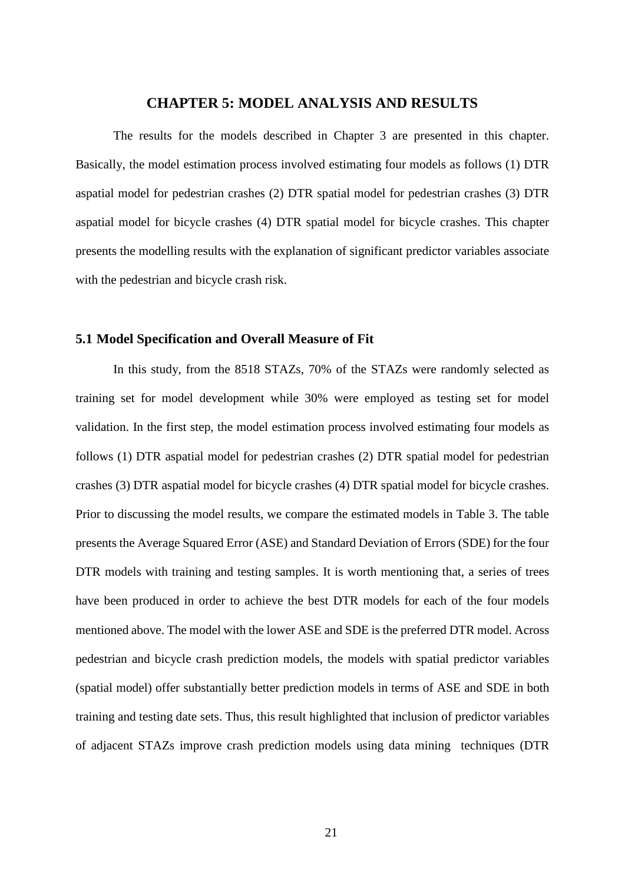### **CHAPTER 5: MODEL ANALYSIS AND RESULTS**

<span id="page-29-0"></span>The results for the models described in Chapter 3 are presented in this chapter. Basically, the model estimation process involved estimating four models as follows (1) DTR aspatial model for pedestrian crashes (2) DTR spatial model for pedestrian crashes (3) DTR aspatial model for bicycle crashes (4) DTR spatial model for bicycle crashes. This chapter presents the modelling results with the explanation of significant predictor variables associate with the pedestrian and bicycle crash risk.

#### <span id="page-29-1"></span>**5.1 Model Specification and Overall Measure of Fit**

In this study, from the 8518 STAZs, 70% of the STAZs were randomly selected as training set for model development while 30% were employed as testing set for model validation. In the first step, the model estimation process involved estimating four models as follows (1) DTR aspatial model for pedestrian crashes (2) DTR spatial model for pedestrian crashes (3) DTR aspatial model for bicycle crashes (4) DTR spatial model for bicycle crashes. Prior to discussing the model results, we compare the estimated models in Table 3. The table presents the Average Squared Error (ASE) and Standard Deviation of Errors (SDE) for the four DTR models with training and testing samples. It is worth mentioning that, a series of trees have been produced in order to achieve the best DTR models for each of the four models mentioned above. The model with the lower ASE and SDE is the preferred DTR model. Across pedestrian and bicycle crash prediction models, the models with spatial predictor variables (spatial model) offer substantially better prediction models in terms of ASE and SDE in both training and testing date sets. Thus, this result highlighted that inclusion of predictor variables of adjacent STAZs improve crash prediction models using data mining techniques (DTR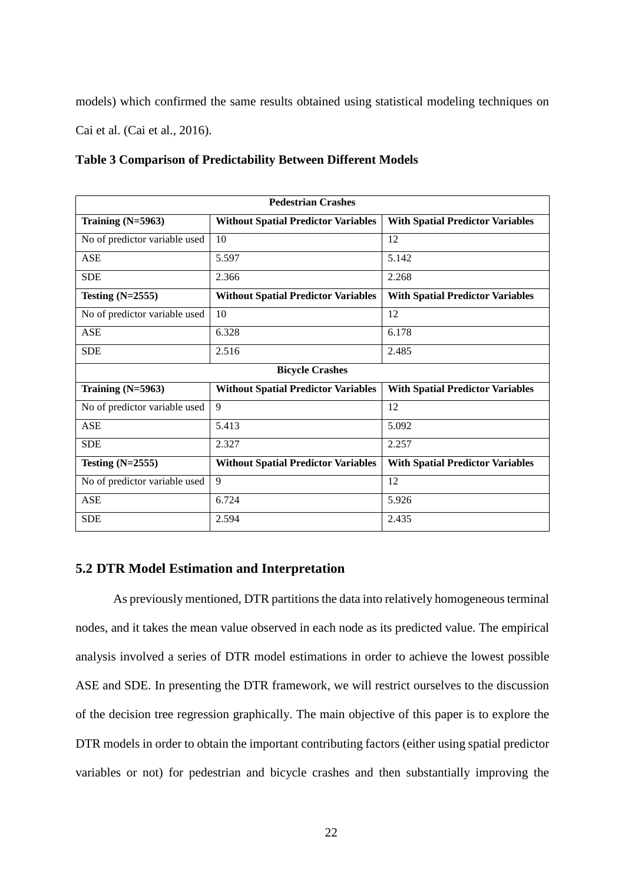models) which confirmed the same results obtained using statistical modeling techniques on Cai et al. (Cai et al., 2016).

<span id="page-30-1"></span>

|  |  | <b>Table 3 Comparison of Predictability Between Different Models</b> |  |  |  |
|--|--|----------------------------------------------------------------------|--|--|--|
|--|--|----------------------------------------------------------------------|--|--|--|

| <b>Pedestrian Crashes</b>     |                                            |                                         |  |  |  |  |
|-------------------------------|--------------------------------------------|-----------------------------------------|--|--|--|--|
| Training $(N=5963)$           | <b>Without Spatial Predictor Variables</b> | <b>With Spatial Predictor Variables</b> |  |  |  |  |
| No of predictor variable used | 10                                         | 12                                      |  |  |  |  |
| <b>ASE</b>                    | 5.597                                      | 5.142                                   |  |  |  |  |
| <b>SDE</b>                    | 2.366                                      | 2.268                                   |  |  |  |  |
| Testing $(N=2555)$            | <b>Without Spatial Predictor Variables</b> | <b>With Spatial Predictor Variables</b> |  |  |  |  |
| No of predictor variable used | 10                                         | 12                                      |  |  |  |  |
| <b>ASE</b>                    | 6.328                                      | 6.178                                   |  |  |  |  |
| <b>SDE</b>                    | 2.516                                      | 2.485                                   |  |  |  |  |
|                               | <b>Bicycle Crashes</b>                     |                                         |  |  |  |  |
| Training $(N=5963)$           | <b>Without Spatial Predictor Variables</b> | <b>With Spatial Predictor Variables</b> |  |  |  |  |
| No of predictor variable used | 9                                          | 12                                      |  |  |  |  |
| <b>ASE</b>                    | 5.413                                      | 5.092                                   |  |  |  |  |
| <b>SDE</b>                    | 2.327                                      | 2.257                                   |  |  |  |  |
| Testing $(N=2555)$            | <b>Without Spatial Predictor Variables</b> | <b>With Spatial Predictor Variables</b> |  |  |  |  |
| No of predictor variable used | 9                                          | 12                                      |  |  |  |  |
| <b>ASE</b>                    | 6.724                                      | 5.926                                   |  |  |  |  |
| <b>SDE</b>                    | 2.594                                      | 2.435                                   |  |  |  |  |

### <span id="page-30-0"></span>**5.2 DTR Model Estimation and Interpretation**

As previously mentioned, DTR partitions the data into relatively homogeneous terminal nodes, and it takes the mean value observed in each node as its predicted value. The empirical analysis involved a series of DTR model estimations in order to achieve the lowest possible ASE and SDE. In presenting the DTR framework, we will restrict ourselves to the discussion of the decision tree regression graphically. The main objective of this paper is to explore the DTR models in order to obtain the important contributing factors (either using spatial predictor variables or not) for pedestrian and bicycle crashes and then substantially improving the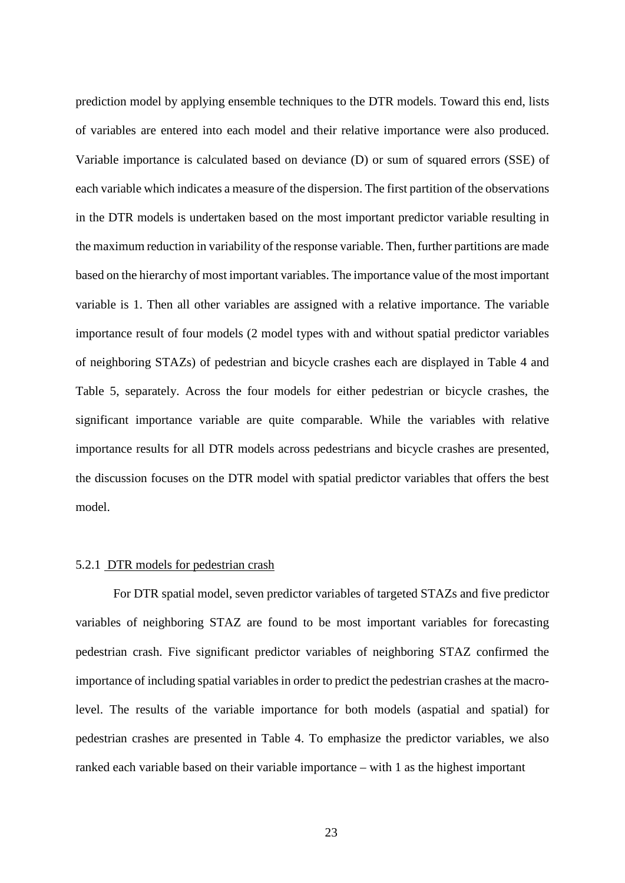prediction model by applying ensemble techniques to the DTR models. Toward this end, lists of variables are entered into each model and their relative importance were also produced. Variable importance is calculated based on deviance (D) or sum of squared errors (SSE) of each variable which indicates a measure of the dispersion. The first partition of the observations in the DTR models is undertaken based on the most important predictor variable resulting in the maximum reduction in variability of the response variable. Then, further partitions are made based on the hierarchy of most important variables. The importance value of the most important variable is 1. Then all other variables are assigned with a relative importance. The variable importance result of four models (2 model types with and without spatial predictor variables of neighboring STAZs) of pedestrian and bicycle crashes each are displayed in Table 4 and Table 5, separately. Across the four models for either pedestrian or bicycle crashes, the significant importance variable are quite comparable. While the variables with relative importance results for all DTR models across pedestrians and bicycle crashes are presented, the discussion focuses on the DTR model with spatial predictor variables that offers the best model.

#### <span id="page-31-0"></span>5.2.1 DTR models for pedestrian crash

For DTR spatial model, seven predictor variables of targeted STAZs and five predictor variables of neighboring STAZ are found to be most important variables for forecasting pedestrian crash. Five significant predictor variables of neighboring STAZ confirmed the importance of including spatial variables in order to predict the pedestrian crashes at the macrolevel. The results of the variable importance for both models (aspatial and spatial) for pedestrian crashes are presented in Table 4. To emphasize the predictor variables, we also ranked each variable based on their variable importance – with 1 as the highest important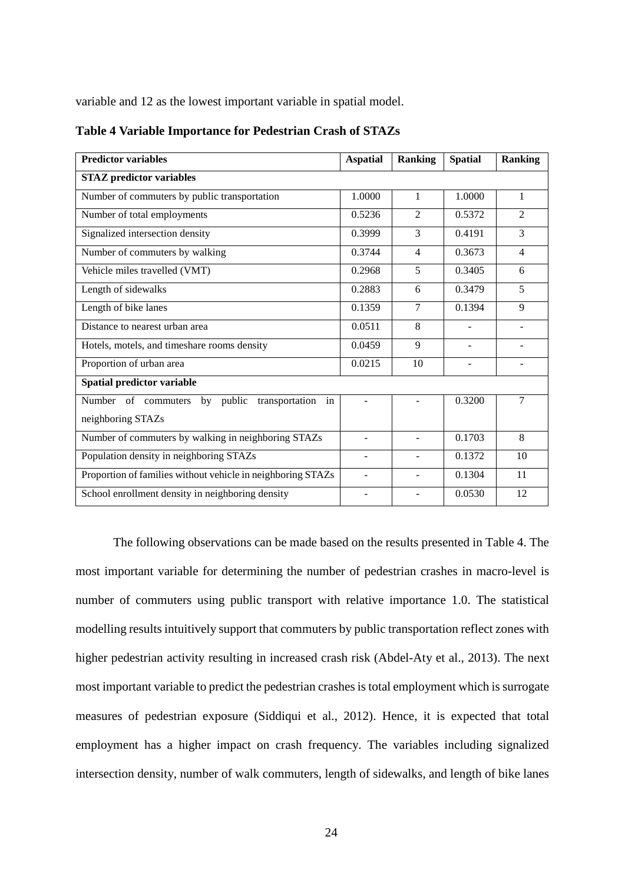variable and 12 as the lowest important variable in spatial model.

| <b>Predictor variables</b>                                  | <b>Aspatial</b> | <b>Ranking</b> | <b>Spatial</b> | <b>Ranking</b> |  |  |  |
|-------------------------------------------------------------|-----------------|----------------|----------------|----------------|--|--|--|
| <b>STAZ</b> predictor variables                             |                 |                |                |                |  |  |  |
| Number of commuters by public transportation                | 1.0000          | $\mathbf{1}$   | 1.0000         | 1              |  |  |  |
| Number of total employments                                 | 0.5236          | 2              | 0.5372         | 2              |  |  |  |
| Signalized intersection density                             | 0.3999          | 3              | 0.4191         | 3              |  |  |  |
| Number of commuters by walking                              | 0.3744          | 4              | 0.3673         | $\overline{4}$ |  |  |  |
| Vehicle miles travelled (VMT)                               | 0.2968          | 5              | 0.3405         | 6              |  |  |  |
| Length of sidewalks                                         | 0.2883          | 6              | 0.3479         | 5              |  |  |  |
| Length of bike lanes                                        | 0.1359          | 7              | 0.1394         | 9              |  |  |  |
| Distance to nearest urban area                              | 0.0511          | 8              |                |                |  |  |  |
| Hotels, motels, and timeshare rooms density                 | 0.0459          | 9              | $\overline{a}$ |                |  |  |  |
| Proportion of urban area                                    | 0.0215          | 10             |                |                |  |  |  |
| Spatial predictor variable                                  |                 |                |                |                |  |  |  |
| Number of commuters<br>transportation<br>by public<br>in    |                 |                | 0.3200         | $\overline{7}$ |  |  |  |
| neighboring STAZs                                           |                 |                |                |                |  |  |  |
| Number of commuters by walking in neighboring STAZs         |                 |                | 0.1703         | 8              |  |  |  |
| Population density in neighboring STAZs                     |                 |                | 0.1372         | 10             |  |  |  |
| Proportion of families without vehicle in neighboring STAZs | L,              | ÷              | 0.1304         | 11             |  |  |  |
| School enrollment density in neighboring density            |                 |                | 0.0530         | 12             |  |  |  |

#### <span id="page-32-0"></span>**Table 4 Variable Importance for Pedestrian Crash of STAZs**

The following observations can be made based on the results presented in Table 4. The most important variable for determining the number of pedestrian crashes in macro-level is number of commuters using public transport with relative importance 1.0. The statistical modelling results intuitively support that commuters by public transportation reflect zones with higher pedestrian activity resulting in increased crash risk (Abdel-Aty et al., 2013). The next most important variable to predict the pedestrian crashes is total employment which is surrogate measures of pedestrian exposure (Siddiqui et al., 2012). Hence, it is expected that total employment has a higher impact on crash frequency. The variables including signalized intersection density, number of walk commuters, length of sidewalks, and length of bike lanes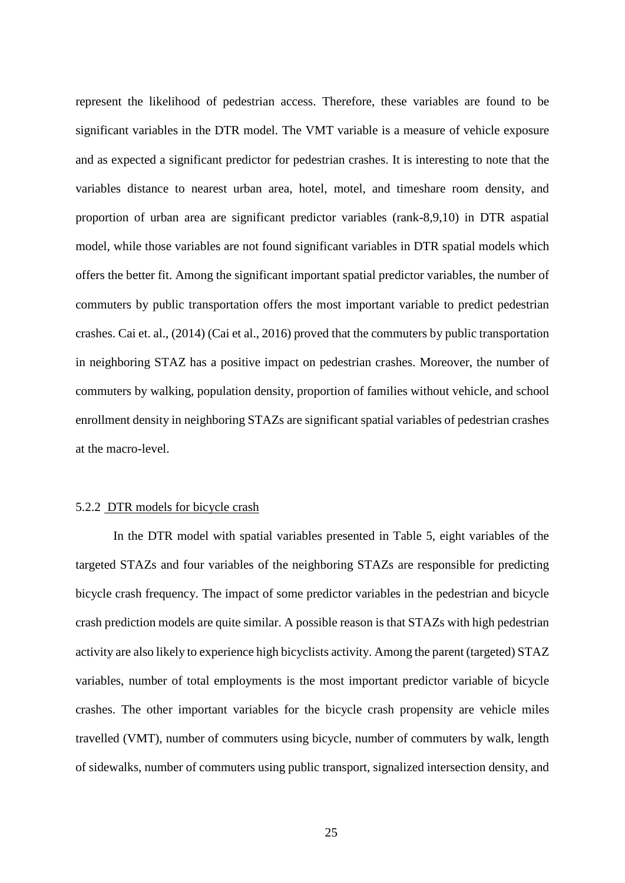represent the likelihood of pedestrian access. Therefore, these variables are found to be significant variables in the DTR model. The VMT variable is a measure of vehicle exposure and as expected a significant predictor for pedestrian crashes. It is interesting to note that the variables distance to nearest urban area, hotel, motel, and timeshare room density, and proportion of urban area are significant predictor variables (rank-8,9,10) in DTR aspatial model, while those variables are not found significant variables in DTR spatial models which offers the better fit. Among the significant important spatial predictor variables, the number of commuters by public transportation offers the most important variable to predict pedestrian crashes. Cai et. al., (2014) (Cai et al., 2016) proved that the commuters by public transportation in neighboring STAZ has a positive impact on pedestrian crashes. Moreover, the number of commuters by walking, population density, proportion of families without vehicle, and school enrollment density in neighboring STAZs are significant spatial variables of pedestrian crashes at the macro-level.

#### <span id="page-33-0"></span>5.2.2 DTR models for bicycle crash

In the DTR model with spatial variables presented in Table 5, eight variables of the targeted STAZs and four variables of the neighboring STAZs are responsible for predicting bicycle crash frequency. The impact of some predictor variables in the pedestrian and bicycle crash prediction models are quite similar. A possible reason is that STAZs with high pedestrian activity are also likely to experience high bicyclists activity. Among the parent (targeted) STAZ variables, number of total employments is the most important predictor variable of bicycle crashes. The other important variables for the bicycle crash propensity are vehicle miles travelled (VMT), number of commuters using bicycle, number of commuters by walk, length of sidewalks, number of commuters using public transport, signalized intersection density, and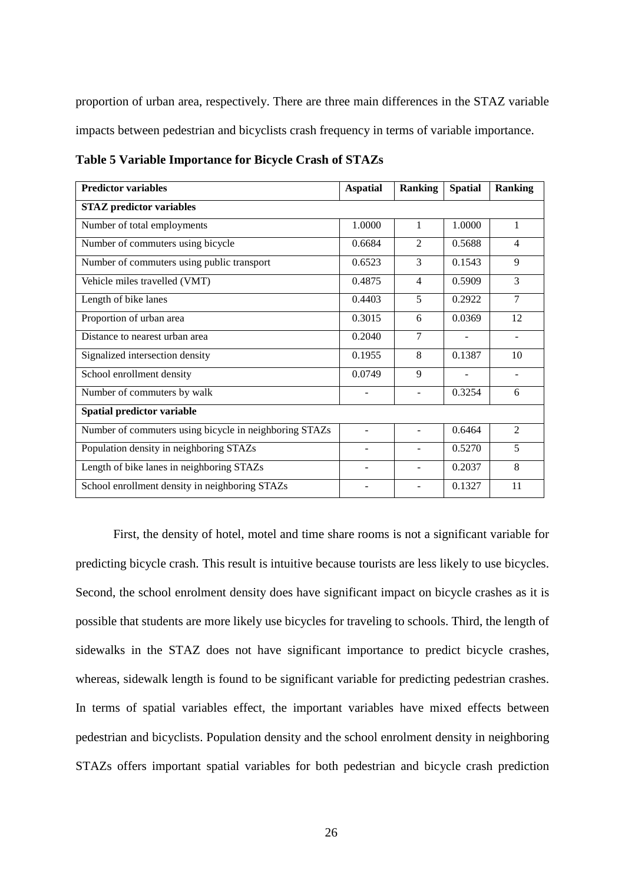proportion of urban area, respectively. There are three main differences in the STAZ variable impacts between pedestrian and bicyclists crash frequency in terms of variable importance.

| <b>Predictor variables</b>                             | <b>Aspatial</b> | <b>Ranking</b> | <b>Spatial</b> | <b>Ranking</b> |  |  |  |
|--------------------------------------------------------|-----------------|----------------|----------------|----------------|--|--|--|
| <b>STAZ</b> predictor variables                        |                 |                |                |                |  |  |  |
| Number of total employments                            | 1.0000          | 1              | 1.0000         | $\mathbf{1}$   |  |  |  |
| Number of commuters using bicycle                      | 0.6684          | $\mathfrak{D}$ | 0.5688         | $\overline{4}$ |  |  |  |
| Number of commuters using public transport             | 0.6523          | 3              | 0.1543         | 9              |  |  |  |
| Vehicle miles travelled (VMT)                          | 0.4875          | $\overline{4}$ | 0.5909         | 3              |  |  |  |
| Length of bike lanes                                   | 0.4403          | 5              | 0.2922         | 7              |  |  |  |
| Proportion of urban area                               | 0.3015          | 6              | 0.0369         | 12             |  |  |  |
| Distance to nearest urban area                         | 0.2040          | 7              |                |                |  |  |  |
| Signalized intersection density                        | 0.1955          | 8              | 0.1387         | 10             |  |  |  |
| School enrollment density                              | 0.0749          | 9              |                |                |  |  |  |
| Number of commuters by walk                            |                 |                | 0.3254         | 6              |  |  |  |
| Spatial predictor variable                             |                 |                |                |                |  |  |  |
| Number of commuters using bicycle in neighboring STAZs |                 |                | 0.6464         | $\overline{2}$ |  |  |  |
| Population density in neighboring STAZs                |                 |                | 0.5270         | 5              |  |  |  |
| Length of bike lanes in neighboring STAZs              | ۰               |                | 0.2037         | 8              |  |  |  |
| School enrollment density in neighboring STAZs         | -               |                | 0.1327         | 11             |  |  |  |

<span id="page-34-0"></span>**Table 5 Variable Importance for Bicycle Crash of STAZs**

First, the density of hotel, motel and time share rooms is not a significant variable for predicting bicycle crash. This result is intuitive because tourists are less likely to use bicycles. Second, the school enrolment density does have significant impact on bicycle crashes as it is possible that students are more likely use bicycles for traveling to schools. Third, the length of sidewalks in the STAZ does not have significant importance to predict bicycle crashes, whereas, sidewalk length is found to be significant variable for predicting pedestrian crashes. In terms of spatial variables effect, the important variables have mixed effects between pedestrian and bicyclists. Population density and the school enrolment density in neighboring STAZs offers important spatial variables for both pedestrian and bicycle crash prediction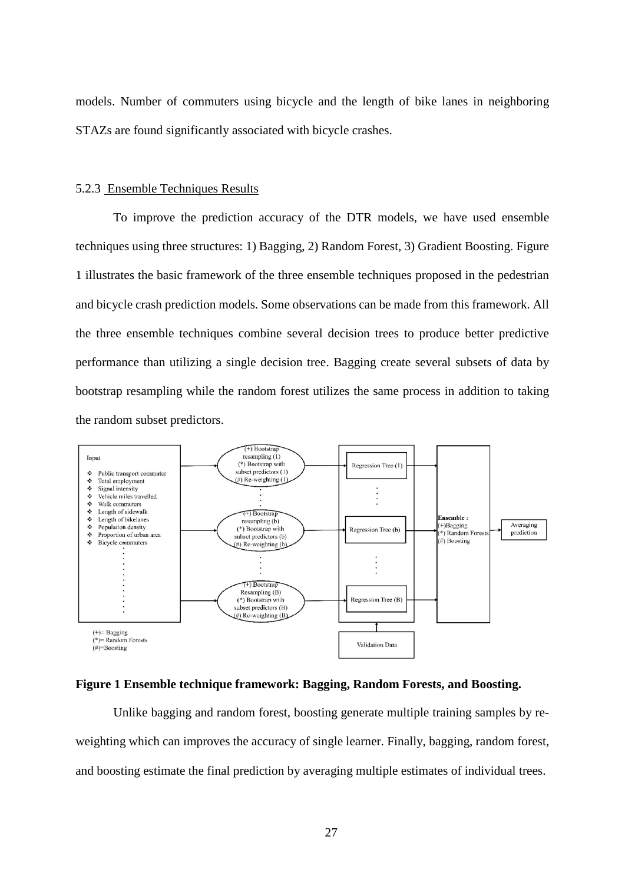models. Number of commuters using bicycle and the length of bike lanes in neighboring STAZs are found significantly associated with bicycle crashes.

#### <span id="page-35-0"></span>5.2.3 Ensemble Techniques Results

To improve the prediction accuracy of the DTR models, we have used ensemble techniques using three structures: 1) Bagging, 2) Random Forest, 3) Gradient Boosting. Figure 1 illustrates the basic framework of the three ensemble techniques proposed in the pedestrian and bicycle crash prediction models. Some observations can be made from this framework. All the three ensemble techniques combine several decision trees to produce better predictive performance than utilizing a single decision tree. Bagging create several subsets of data by bootstrap resampling while the random forest utilizes the same process in addition to taking the random subset predictors.



#### <span id="page-35-1"></span>**Figure 1 Ensemble technique framework: Bagging, Random Forests, and Boosting.**

Unlike bagging and random forest, boosting generate multiple training samples by reweighting which can improves the accuracy of single learner. Finally, bagging, random forest, and boosting estimate the final prediction by averaging multiple estimates of individual trees.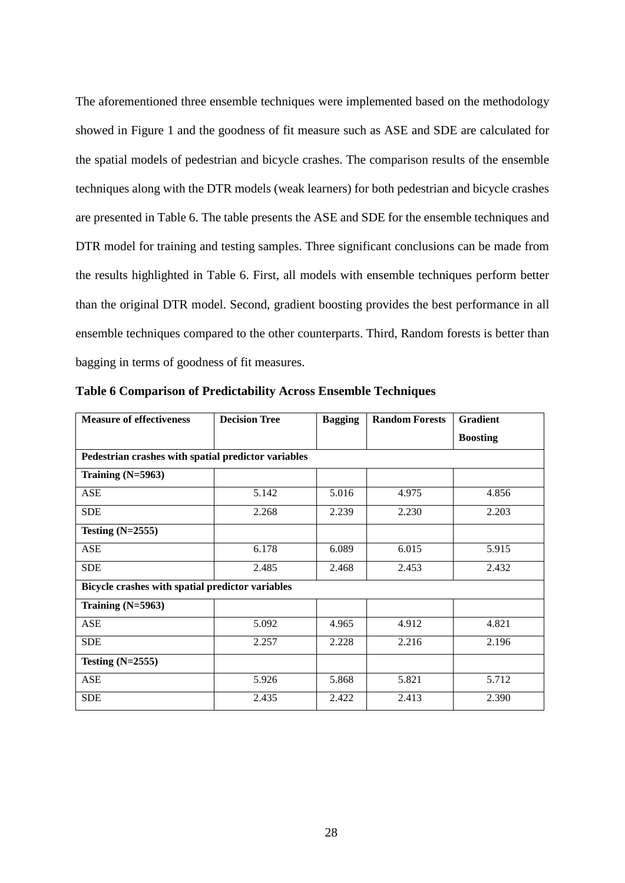The aforementioned three ensemble techniques were implemented based on the methodology showed in Figure 1 and the goodness of fit measure such as ASE and SDE are calculated for the spatial models of pedestrian and bicycle crashes. The comparison results of the ensemble techniques along with the DTR models (weak learners) for both pedestrian and bicycle crashes are presented in Table 6. The table presents the ASE and SDE for the ensemble techniques and DTR model for training and testing samples. Three significant conclusions can be made from the results highlighted in Table 6. First, all models with ensemble techniques perform better than the original DTR model. Second, gradient boosting provides the best performance in all ensemble techniques compared to the other counterparts. Third, Random forests is better than bagging in terms of goodness of fit measures.

| <b>Measure of effectiveness</b>                     | <b>Decision Tree</b> | <b>Bagging</b> | <b>Random Forests</b> | <b>Gradient</b> |
|-----------------------------------------------------|----------------------|----------------|-----------------------|-----------------|
|                                                     |                      |                |                       | <b>Boosting</b> |
| Pedestrian crashes with spatial predictor variables |                      |                |                       |                 |
| Training $(N=5963)$                                 |                      |                |                       |                 |
| ASE                                                 | 5.142                | 5.016          | 4.975                 | 4.856           |
| <b>SDE</b>                                          | 2.268                | 2.239          | 2.230                 | 2.203           |
| Testing $(N=2555)$                                  |                      |                |                       |                 |
| <b>ASE</b>                                          | 6.178                | 6.089          | 6.015                 | 5.915           |
| <b>SDE</b>                                          | 2.485                | 2.468          | 2.453                 | 2.432           |
| Bicycle crashes with spatial predictor variables    |                      |                |                       |                 |
| Training (N=5963)                                   |                      |                |                       |                 |
| ASE                                                 | 5.092                | 4.965          | 4.912                 | 4.821           |
| <b>SDE</b>                                          | 2.257                | 2.228          | 2.216                 | 2.196           |
| Testing $(N=2555)$                                  |                      |                |                       |                 |
| <b>ASE</b>                                          | 5.926                | 5.868          | 5.821                 | 5.712           |
| <b>SDE</b>                                          | 2.435                | 2.422          | 2.413                 | 2.390           |

<span id="page-36-0"></span>**Table 6 Comparison of Predictability Across Ensemble Techniques**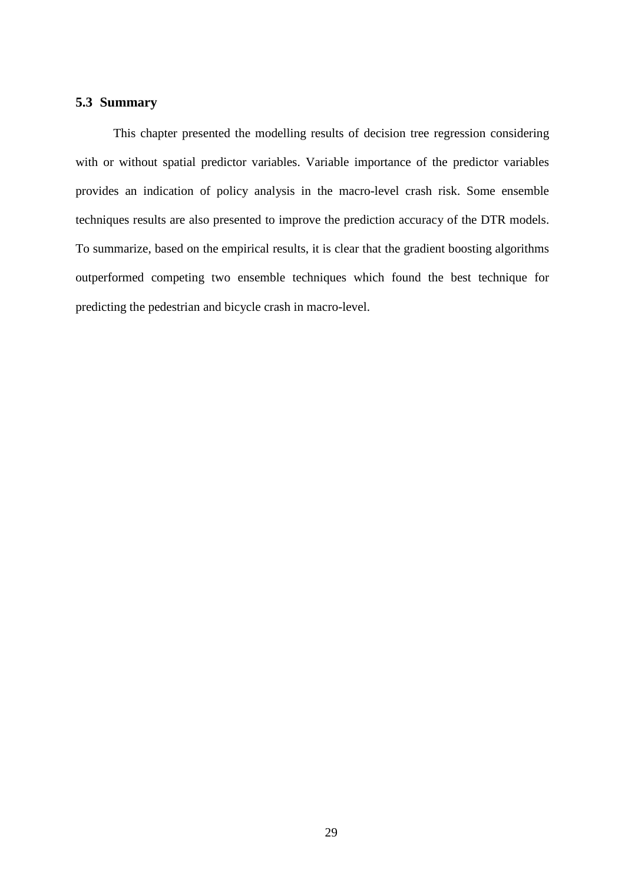# <span id="page-37-0"></span>**5.3 Summary**

This chapter presented the modelling results of decision tree regression considering with or without spatial predictor variables. Variable importance of the predictor variables provides an indication of policy analysis in the macro-level crash risk. Some ensemble techniques results are also presented to improve the prediction accuracy of the DTR models. To summarize, based on the empirical results, it is clear that the gradient boosting algorithms outperformed competing two ensemble techniques which found the best technique for predicting the pedestrian and bicycle crash in macro-level.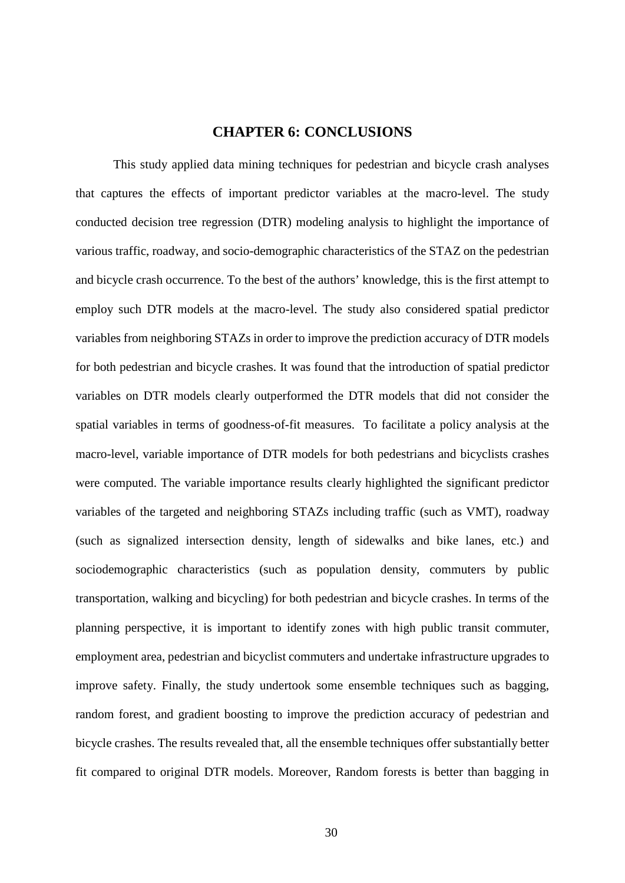## **CHAPTER 6: CONCLUSIONS**

<span id="page-38-0"></span>This study applied data mining techniques for pedestrian and bicycle crash analyses that captures the effects of important predictor variables at the macro-level. The study conducted decision tree regression (DTR) modeling analysis to highlight the importance of various traffic, roadway, and socio-demographic characteristics of the STAZ on the pedestrian and bicycle crash occurrence. To the best of the authors' knowledge, this is the first attempt to employ such DTR models at the macro-level. The study also considered spatial predictor variables from neighboring STAZs in order to improve the prediction accuracy of DTR models for both pedestrian and bicycle crashes. It was found that the introduction of spatial predictor variables on DTR models clearly outperformed the DTR models that did not consider the spatial variables in terms of goodness-of-fit measures. To facilitate a policy analysis at the macro-level, variable importance of DTR models for both pedestrians and bicyclists crashes were computed. The variable importance results clearly highlighted the significant predictor variables of the targeted and neighboring STAZs including traffic (such as VMT), roadway (such as signalized intersection density, length of sidewalks and bike lanes, etc.) and sociodemographic characteristics (such as population density, commuters by public transportation, walking and bicycling) for both pedestrian and bicycle crashes. In terms of the planning perspective, it is important to identify zones with high public transit commuter, employment area, pedestrian and bicyclist commuters and undertake infrastructure upgrades to improve safety. Finally, the study undertook some ensemble techniques such as bagging, random forest, and gradient boosting to improve the prediction accuracy of pedestrian and bicycle crashes. The results revealed that, all the ensemble techniques offer substantially better fit compared to original DTR models. Moreover, Random forests is better than bagging in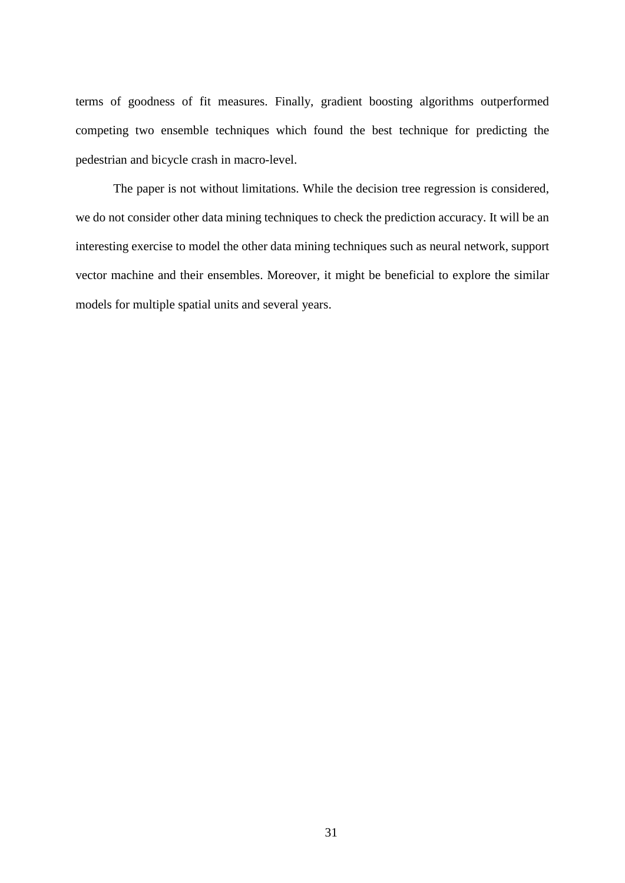terms of goodness of fit measures. Finally, gradient boosting algorithms outperformed competing two ensemble techniques which found the best technique for predicting the pedestrian and bicycle crash in macro-level.

The paper is not without limitations. While the decision tree regression is considered, we do not consider other data mining techniques to check the prediction accuracy. It will be an interesting exercise to model the other data mining techniques such as neural network, support vector machine and their ensembles. Moreover, it might be beneficial to explore the similar models for multiple spatial units and several years.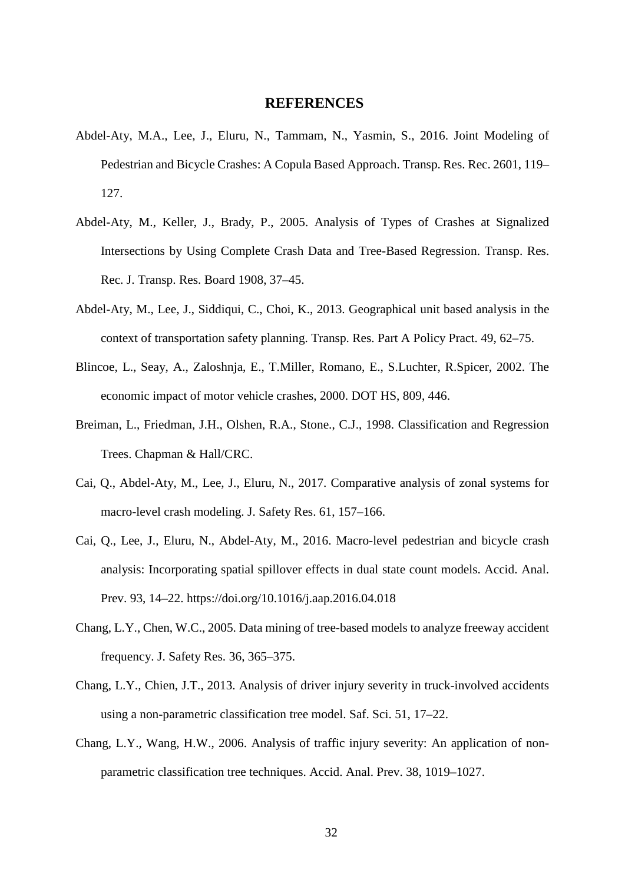## **REFERENCES**

- <span id="page-40-0"></span>Abdel-Aty, M.A., Lee, J., Eluru, N., Tammam, N., Yasmin, S., 2016. Joint Modeling of Pedestrian and Bicycle Crashes: A Copula Based Approach. Transp. Res. Rec. 2601, 119– 127.
- Abdel-Aty, M., Keller, J., Brady, P., 2005. Analysis of Types of Crashes at Signalized Intersections by Using Complete Crash Data and Tree-Based Regression. Transp. Res. Rec. J. Transp. Res. Board 1908, 37–45.
- Abdel-Aty, M., Lee, J., Siddiqui, C., Choi, K., 2013. Geographical unit based analysis in the context of transportation safety planning. Transp. Res. Part A Policy Pract. 49, 62–75.
- Blincoe, L., Seay, A., Zaloshnja, E., T.Miller, Romano, E., S.Luchter, R.Spicer, 2002. The economic impact of motor vehicle crashes, 2000. DOT HS, 809, 446.
- Breiman, L., Friedman, J.H., Olshen, R.A., Stone., C.J., 1998. Classification and Regression Trees. Chapman & Hall/CRC.
- Cai, Q., Abdel-Aty, M., Lee, J., Eluru, N., 2017. Comparative analysis of zonal systems for macro-level crash modeling. J. Safety Res. 61, 157–166.
- Cai, Q., Lee, J., Eluru, N., Abdel-Aty, M., 2016. Macro-level pedestrian and bicycle crash analysis: Incorporating spatial spillover effects in dual state count models. Accid. Anal. Prev. 93, 14–22. https://doi.org/10.1016/j.aap.2016.04.018
- Chang, L.Y., Chen, W.C., 2005. Data mining of tree-based models to analyze freeway accident frequency. J. Safety Res. 36, 365–375.
- Chang, L.Y., Chien, J.T., 2013. Analysis of driver injury severity in truck-involved accidents using a non-parametric classification tree model. Saf. Sci. 51, 17–22.
- Chang, L.Y., Wang, H.W., 2006. Analysis of traffic injury severity: An application of nonparametric classification tree techniques. Accid. Anal. Prev. 38, 1019–1027.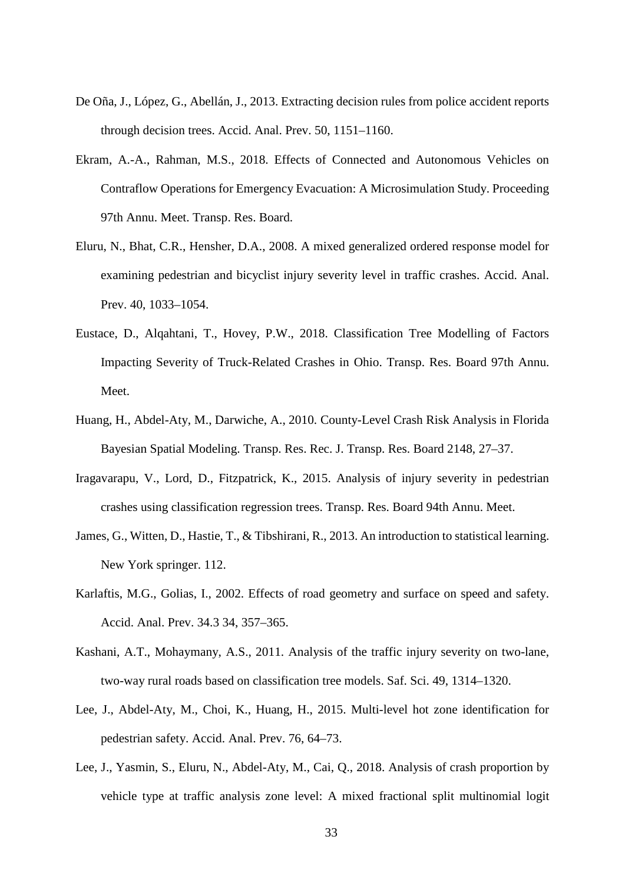- De Oña, J., López, G., Abellán, J., 2013. Extracting decision rules from police accident reports through decision trees. Accid. Anal. Prev. 50, 1151–1160.
- Ekram, A.-A., Rahman, M.S., 2018. Effects of Connected and Autonomous Vehicles on Contraflow Operations for Emergency Evacuation: A Microsimulation Study. Proceeding 97th Annu. Meet. Transp. Res. Board.
- Eluru, N., Bhat, C.R., Hensher, D.A., 2008. A mixed generalized ordered response model for examining pedestrian and bicyclist injury severity level in traffic crashes. Accid. Anal. Prev. 40, 1033–1054.
- Eustace, D., Alqahtani, T., Hovey, P.W., 2018. Classification Tree Modelling of Factors Impacting Severity of Truck-Related Crashes in Ohio. Transp. Res. Board 97th Annu. Meet.
- Huang, H., Abdel-Aty, M., Darwiche, A., 2010. County-Level Crash Risk Analysis in Florida Bayesian Spatial Modeling. Transp. Res. Rec. J. Transp. Res. Board 2148, 27–37.
- Iragavarapu, V., Lord, D., Fitzpatrick, K., 2015. Analysis of injury severity in pedestrian crashes using classification regression trees. Transp. Res. Board 94th Annu. Meet.
- James, G., Witten, D., Hastie, T., & Tibshirani, R., 2013. An introduction to statistical learning. New York springer. 112.
- Karlaftis, M.G., Golias, I., 2002. Effects of road geometry and surface on speed and safety. Accid. Anal. Prev. 34.3 34, 357–365.
- Kashani, A.T., Mohaymany, A.S., 2011. Analysis of the traffic injury severity on two-lane, two-way rural roads based on classification tree models. Saf. Sci. 49, 1314–1320.
- Lee, J., Abdel-Aty, M., Choi, K., Huang, H., 2015. Multi-level hot zone identification for pedestrian safety. Accid. Anal. Prev. 76, 64–73.
- Lee, J., Yasmin, S., Eluru, N., Abdel-Aty, M., Cai, Q., 2018. Analysis of crash proportion by vehicle type at traffic analysis zone level: A mixed fractional split multinomial logit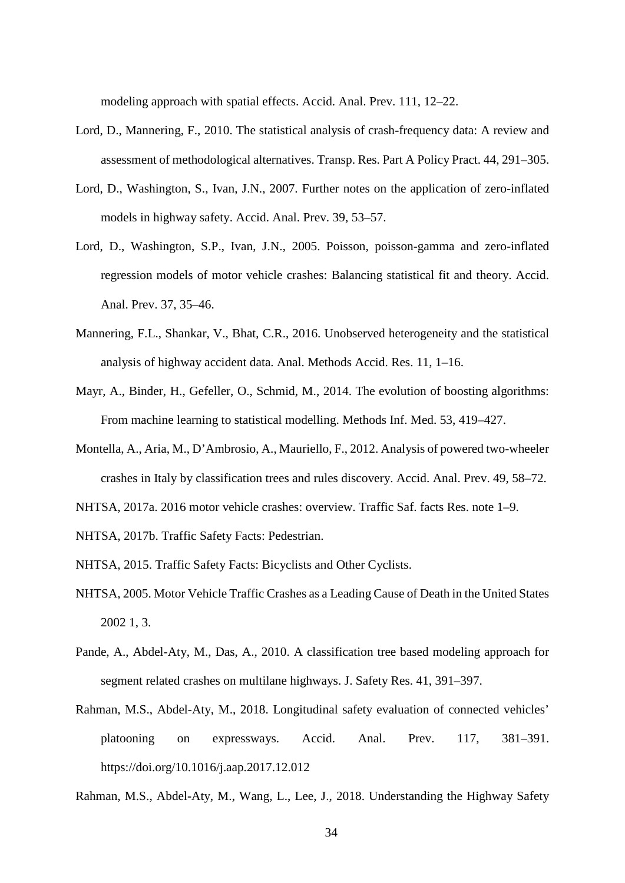modeling approach with spatial effects. Accid. Anal. Prev. 111, 12–22.

- Lord, D., Mannering, F., 2010. The statistical analysis of crash-frequency data: A review and assessment of methodological alternatives. Transp. Res. Part A Policy Pract. 44, 291–305.
- Lord, D., Washington, S., Ivan, J.N., 2007. Further notes on the application of zero-inflated models in highway safety. Accid. Anal. Prev. 39, 53–57.
- Lord, D., Washington, S.P., Ivan, J.N., 2005. Poisson, poisson-gamma and zero-inflated regression models of motor vehicle crashes: Balancing statistical fit and theory. Accid. Anal. Prev. 37, 35–46.
- Mannering, F.L., Shankar, V., Bhat, C.R., 2016. Unobserved heterogeneity and the statistical analysis of highway accident data. Anal. Methods Accid. Res. 11, 1–16.
- Mayr, A., Binder, H., Gefeller, O., Schmid, M., 2014. The evolution of boosting algorithms: From machine learning to statistical modelling. Methods Inf. Med. 53, 419–427.
- Montella, A., Aria, M., D'Ambrosio, A., Mauriello, F., 2012. Analysis of powered two-wheeler crashes in Italy by classification trees and rules discovery. Accid. Anal. Prev. 49, 58–72.
- NHTSA, 2017a. 2016 motor vehicle crashes: overview. Traffic Saf. facts Res. note 1–9.
- NHTSA, 2017b. Traffic Safety Facts: Pedestrian.
- NHTSA, 2015. Traffic Safety Facts: Bicyclists and Other Cyclists.
- NHTSA, 2005. Motor Vehicle Traffic Crashes as a Leading Cause of Death in the United States 2002 1, 3.
- Pande, A., Abdel-Aty, M., Das, A., 2010. A classification tree based modeling approach for segment related crashes on multilane highways. J. Safety Res. 41, 391–397.
- Rahman, M.S., Abdel-Aty, M., 2018. Longitudinal safety evaluation of connected vehicles' platooning on expressways. Accid. Anal. Prev. 117, 381–391. https://doi.org/10.1016/j.aap.2017.12.012

Rahman, M.S., Abdel-Aty, M., Wang, L., Lee, J., 2018. Understanding the Highway Safety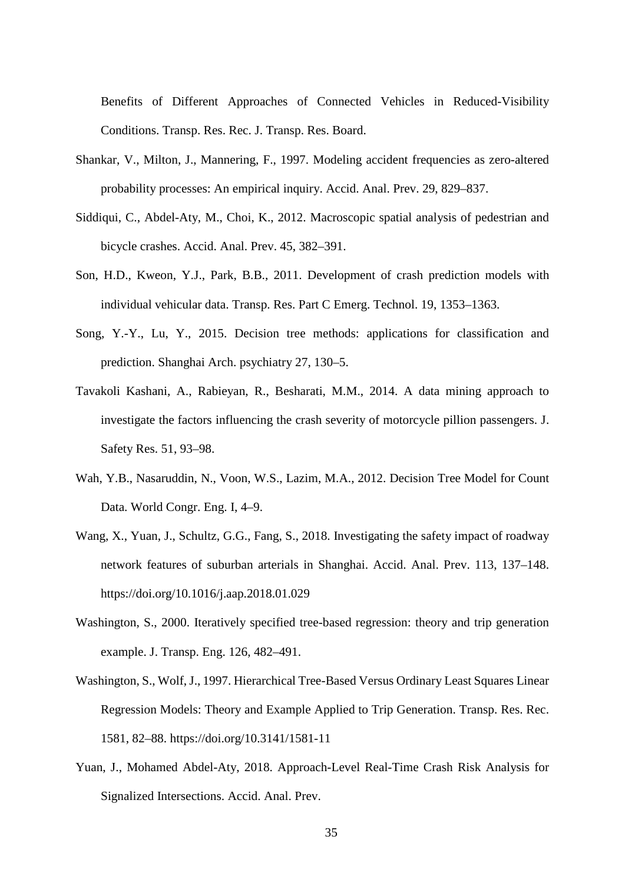Benefits of Different Approaches of Connected Vehicles in Reduced-Visibility Conditions. Transp. Res. Rec. J. Transp. Res. Board.

- Shankar, V., Milton, J., Mannering, F., 1997. Modeling accident frequencies as zero-altered probability processes: An empirical inquiry. Accid. Anal. Prev. 29, 829–837.
- Siddiqui, C., Abdel-Aty, M., Choi, K., 2012. Macroscopic spatial analysis of pedestrian and bicycle crashes. Accid. Anal. Prev. 45, 382–391.
- Son, H.D., Kweon, Y.J., Park, B.B., 2011. Development of crash prediction models with individual vehicular data. Transp. Res. Part C Emerg. Technol. 19, 1353–1363.
- Song, Y.-Y., Lu, Y., 2015. Decision tree methods: applications for classification and prediction. Shanghai Arch. psychiatry 27, 130–5.
- Tavakoli Kashani, A., Rabieyan, R., Besharati, M.M., 2014. A data mining approach to investigate the factors influencing the crash severity of motorcycle pillion passengers. J. Safety Res. 51, 93–98.
- Wah, Y.B., Nasaruddin, N., Voon, W.S., Lazim, M.A., 2012. Decision Tree Model for Count Data. World Congr. Eng. I, 4–9.
- Wang, X., Yuan, J., Schultz, G.G., Fang, S., 2018. Investigating the safety impact of roadway network features of suburban arterials in Shanghai. Accid. Anal. Prev. 113, 137–148. https://doi.org/10.1016/j.aap.2018.01.029
- Washington, S., 2000. Iteratively specified tree-based regression: theory and trip generation example. J. Transp. Eng. 126, 482–491.
- Washington, S., Wolf, J., 1997. Hierarchical Tree-Based Versus Ordinary Least Squares Linear Regression Models: Theory and Example Applied to Trip Generation. Transp. Res. Rec. 1581, 82–88. https://doi.org/10.3141/1581-11
- Yuan, J., Mohamed Abdel-Aty, 2018. Approach-Level Real-Time Crash Risk Analysis for Signalized Intersections. Accid. Anal. Prev.